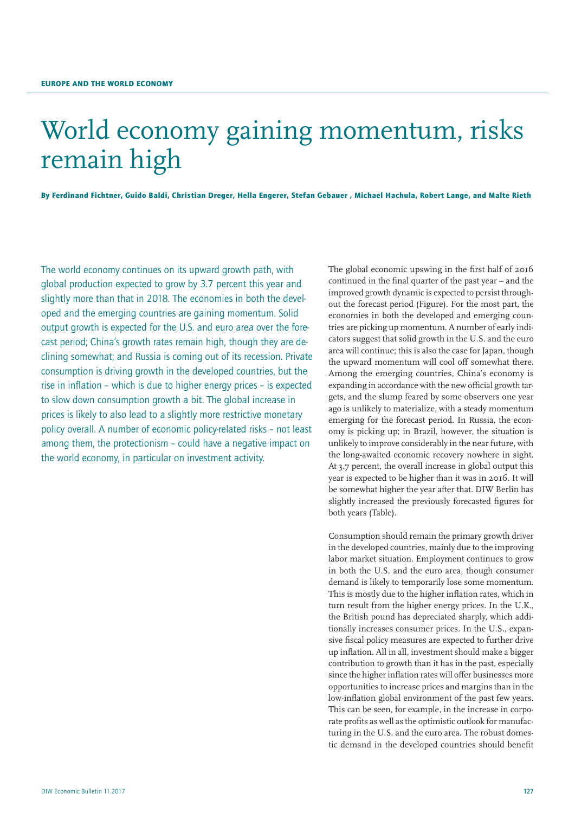# World economy gaining momentum, risks remain high

By Ferdinand Fichtner, Guido Baldi, Christian Dreger, Hella Engerer, Stefan Gebauer , Michael Hachula, Robert Lange, and Malte Rieth

The world economy continues on its upward growth path, with global production expected to grow by 3.7 percent this year and slightly more than that in 2018. The economies in both the developed and the emerging countries are gaining momentum. Solid output growth is expected for the U.S. and euro area over the forecast period; China's growth rates remain high, though they are declining somewhat; and Russia is coming out of its recession. Private consumption is driving growth in the developed countries, but the rise in inflation – which is due to higher energy prices – is expected to slow down consumption growth a bit. The global increase in prices is likely to also lead to a slightly more restrictive monetary policy overall. A number of economic policy-related risks – not least among them, the protectionism – could have a negative impact on the world economy, in particular on investment activity.

The global economic upswing in the first half of 2016 continued in the final quarter of the past year – and the improved growth dynamic is expected to persist throughout the forecast period (Figure). For the most part, the economies in both the developed and emerging countries are picking up momentum. A number of early indicators suggest that solid growth in the U.S. and the euro area will continue; this is also the case for Japan, though the upward momentum will cool off somewhat there. Among the emerging countries, China's economy is expanding in accordance with the new official growth targets, and the slump feared by some observers one year ago is unlikely to materialize, with a steady momentum emerging for the forecast period. In Russia, the economy is picking up; in Brazil, however, the situation is unlikely to improve considerably in the near future, with the long-awaited economic recovery nowhere in sight. At 3.7 percent, the overall increase in global output this year is expected to be higher than it was in 2016. It will be somewhat higher the year after that. DIW Berlin has slightly increased the previously forecasted figures for both years (Table).

Consumption should remain the primary growth driver in the developed countries, mainly due to the improving labor market situation. Employment continues to grow in both the U.S. and the euro area, though consumer demand is likely to temporarily lose some momentum. This is mostly due to the higher inflation rates, which in turn result from the higher energy prices. In the U.K., the British pound has depreciated sharply, which additionally increases consumer prices. In the U.S., expansive fiscal policy measures are expected to further drive up inflation. All in all, investment should make a bigger contribution to growth than it has in the past, especially since the higher inflation rates will offer businesses more opportunities to increase prices and margins than in the low-inflation global environment of the past few years. This can be seen, for example, in the increase in corporate profits as well as the optimistic outlook for manufacturing in the U.S. and the euro area. The robust domestic demand in the developed countries should benefit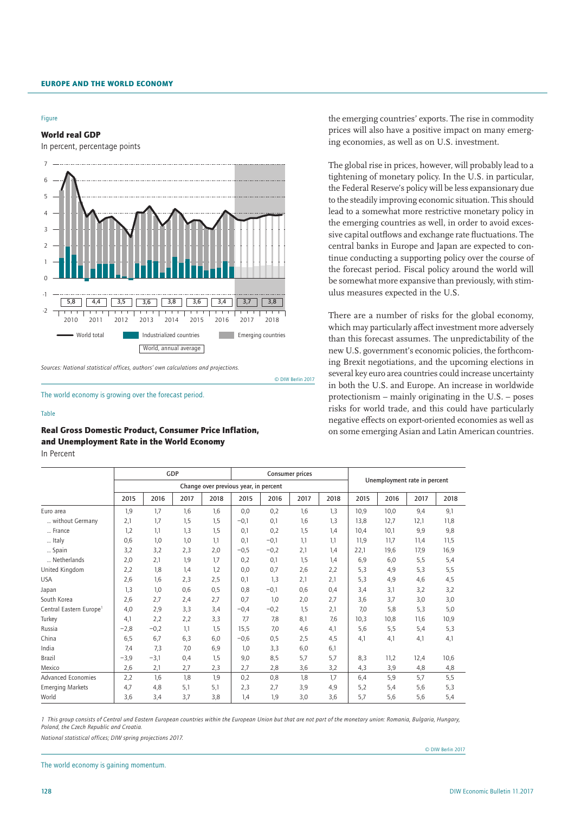#### Figure

World real GDP

In percent, percentage points



*Sources: National statistical offices, authors' own calculations and projections.*

© DIW Berlin 2017

The world economy is growing over the forecast period.

#### Table

Real Gross Domestic Product, Consumer Price Inflation, and Unemployment Rate in the World Economy

In Percent

the emerging countries' exports. The rise in commodity prices will also have a positive impact on many emerging economies, as well as on U.S. investment.

The global rise in prices, however, will probably lead to a tightening of monetary policy. In the U.S. in particular, the Federal Reserve's policy will be less expansionary due to the steadily improving economic situation. This should lead to a somewhat more restrictive monetary policy in the emerging countries as well, in order to avoid excessive capital outflows and exchange rate fluctuations. The central banks in Europe and Japan are expected to continue conducting a supporting policy over the course of the forecast period. Fiscal policy around the world will be somewhat more expansive than previously, with stimulus measures expected in the U.S.

There are a number of risks for the global economy, which may particularly affect investment more adversely than this forecast assumes. The unpredictability of the new U.S. government's economic policies, the forthcoming Brexit negotiations, and the upcoming elections in several key euro area countries could increase uncertainty in both the U.S. and Europe. An increase in worldwide protectionism – mainly originating in the U.S. – poses risks for world trade, and this could have particularly negative effects on export-oriented economies as well as on some emerging Asian and Latin American countries.

|                                     | GDP    |        |      |                                       | <b>Consumer prices</b> |        |      |      |                              |      |      |      |
|-------------------------------------|--------|--------|------|---------------------------------------|------------------------|--------|------|------|------------------------------|------|------|------|
|                                     |        |        |      | Change over previous year, in percent |                        |        |      |      | Unemployment rate in percent |      |      |      |
|                                     | 2015   | 2016   | 2017 | 2018                                  | 2015                   | 2016   | 2017 | 2018 | 2015                         | 2016 | 2017 | 2018 |
| Euro area                           | 1,9    | 1,7    | 1,6  | 1,6                                   | 0,0                    | 0,2    | 1,6  | 1,3  | 10,9                         | 10,0 | 9,4  | 9,1  |
| without Germany                     | 2,1    | 1,7    | 1,5  | 1,5                                   | $-0,1$                 | 0,1    | 1,6  | 1,3  | 13.8                         | 12,7 | 12,1 | 11,8 |
| France                              | 1,2    | 1,1    | 1,3  | 1,5                                   | 0,1                    | 0,2    | 1,5  | 1.4  | 10.4                         | 10,1 | 9,9  | 9,8  |
| Italy                               | 0,6    | 1,0    | 1,0  | 1,1                                   | 0,1                    | $-0,1$ | 1,1  | 1,1  | 11,9                         | 11,7 | 11,4 | 11,5 |
| Spain                               | 3,2    | 3,2    | 2,3  | 2,0                                   | $-0,5$                 | $-0,2$ | 2,1  | 1,4  | 22,1                         | 19,6 | 17,9 | 16,9 |
| Netherlands                         | 2,0    | 2,1    | 1,9  | 1,7                                   | 0,2                    | 0,1    | 1,5  | 1,4  | 6,9                          | 6,0  | 5,5  | 5,4  |
| United Kingdom                      | 2,2    | 1,8    | 1,4  | 1,2                                   | 0,0                    | 0,7    | 2,6  | 2,2  | 5,3                          | 4,9  | 5,3  | 5,5  |
| <b>USA</b>                          | 2,6    | 1,6    | 2,3  | 2,5                                   | 0,1                    | 1,3    | 2,1  | 2,1  | 5,3                          | 4,9  | 4,6  | 4,5  |
| Japan                               | 1,3    | 1,0    | 0,6  | 0,5                                   | 0,8                    | $-0,1$ | 0,6  | 0,4  | 3,4                          | 3,1  | 3,2  | 3,2  |
| South Korea                         | 2,6    | 2,7    | 2,4  | 2,7                                   | 0,7                    | 1,0    | 2,0  | 2,7  | 3,6                          | 3,7  | 3,0  | 3,0  |
| Central Eastern Europe <sup>1</sup> | 4,0    | 2,9    | 3,3  | 3,4                                   | $-0,4$                 | $-0,2$ | 1,5  | 2,1  | 7,0                          | 5,8  | 5,3  | 5,0  |
| Turkey                              | 4,1    | 2,2    | 2,2  | 3,3                                   | 7,7                    | 7,8    | 8,1  | 7,6  | 10,3                         | 10,8 | 11,6 | 10,9 |
| Russia                              | $-2,8$ | $-0,2$ | 1,1  | 1,5                                   | 15,5                   | 7,0    | 4,6  | 4,1  | 5,6                          | 5,5  | 5,4  | 5,3  |
| China                               | 6,5    | 6,7    | 6,3  | 6,0                                   | $-0,6$                 | 0,5    | 2,5  | 4,5  | 4,1                          | 4,1  | 4,1  | 4,1  |
| India                               | 7,4    | 7,3    | 7,0  | 6,9                                   | 1,0                    | 3,3    | 6,0  | 6,1  |                              |      |      |      |
| <b>Brazil</b>                       | $-3,9$ | $-3,1$ | 0,4  | 1,5                                   | 9,0                    | 8,5    | 5,7  | 5,7  | 8,3                          | 11,2 | 12,4 | 10,6 |
| Mexico                              | 2,6    | 2,1    | 2,7  | 2,3                                   | 2,7                    | 2,8    | 3,6  | 3,2  | 4,3                          | 3,9  | 4,8  | 4,8  |
| <b>Advanced Economies</b>           | 2,2    | 1,6    | 1,8  | 1,9                                   | 0,2                    | 0.8    | 1,8  | 1,7  | 6,4                          | 5,9  | 5,7  | 5,5  |
| <b>Emerging Markets</b>             | 4,7    | 4,8    | 5,1  | 5,1                                   | 2,3                    | 2,7    | 3,9  | 4,9  | 5,2                          | 5,4  | 5,6  | 5,3  |
| World                               | 3,6    | 3,4    | 3,7  | 3,8                                   | 1,4                    | 1,9    | 3,0  | 3,6  | 5,7                          | 5,6  | 5,6  | 5,4  |

*1 This group consists of Central und Eastern European countries within the European Union but that are not part of the monetary union: Romania, Bulgaria, Hungary, Poland, the Czech Republic and Croatia.*

*National statistical offices; DIW spring projections 2017.*

© DIW Berlin 2017

The world economy is gaining momentum.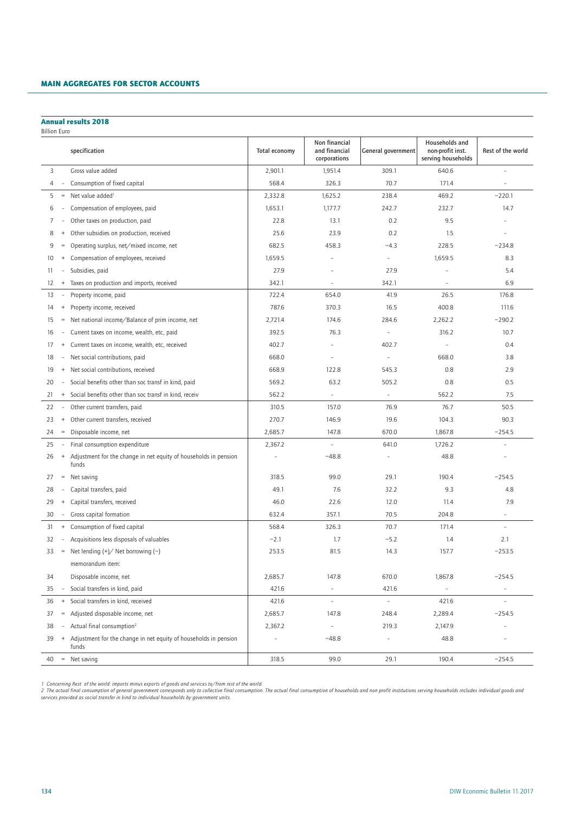#### Main aggregates for sector accounts MAIN AGGREGATES FOR SECTOR ACCOUNTS

## Annual results 2018

| <b>Billion Euro</b> |                                  |                                                                           |                |                                                |                          |                                                          |                          |
|---------------------|----------------------------------|---------------------------------------------------------------------------|----------------|------------------------------------------------|--------------------------|----------------------------------------------------------|--------------------------|
|                     |                                  | specification                                                             | Total economy  | Non financial<br>and financial<br>corporations | General government       | Households and<br>non-profit inst.<br>serving households | Rest of the world        |
| 3                   |                                  | Gross value added                                                         | 2,901.1        | 1,951.4                                        | 309.1                    | 640.6                                                    | $\overline{a}$           |
| 4                   | $\overline{\phantom{a}}$         | Consumption of fixed capital                                              | 568.4          | 326.3                                          | 70.7                     | 171.4                                                    |                          |
| 5                   | $=$                              | Net value added <sup>1</sup>                                              | 2,332.8        | 1,625.2                                        | 238.4                    | 469.2                                                    | $-220.1$                 |
| 6                   |                                  | Compensation of employees, paid                                           | 1,653.1        | 1,177.7                                        | 242.7                    | 232.7                                                    | 14.7                     |
| 7                   |                                  | Other taxes on production, paid                                           | 22.8           | 13.1                                           | 0.2                      | 9.5                                                      |                          |
| 8                   | $\ddot{}$                        | Other subsidies on production, received                                   | 25.6           | 23.9                                           | 0.2                      | 1.5                                                      | $\overline{a}$           |
| 9                   | $=$                              | Operating surplus, net/mixed income, net                                  | 682.5          | 458.3                                          | $-4.3$                   | 228.5                                                    | $-234.8$                 |
| 10                  | $^{+}$                           | Compensation of employees, received                                       | 1,659.5        |                                                | $\overline{\phantom{a}}$ | 1,659.5                                                  | 8.3                      |
| 11                  | $\overline{a}$                   | Subsidies, paid                                                           | 27.9           |                                                | 27.9                     | ÷                                                        | 5.4                      |
| 12                  | $+$                              | Taxes on production and imports, received                                 | 342.1          | $\overline{\phantom{a}}$                       | 342.1                    | $\overline{\phantom{a}}$                                 | 6.9                      |
| 13                  | $\overline{\phantom{m}}$         | Property income, paid                                                     | 722.4          | 654.0                                          | 41.9                     | 26.5                                                     | 176.8                    |
| 14                  | $^{+}$                           | Property income, received                                                 | 787.6          | 370.3                                          | 16.5                     | 400.8                                                    | 111.6                    |
| 15                  | $=$                              | Net national income/Balance of prim income, net                           | 2,721.4        | 174.6                                          | 284.6                    | 2,262.2                                                  | $-290.2$                 |
| 16                  | $\overline{a}$                   | Current taxes on income, wealth, etc, paid                                | 392.5          | 76.3                                           | $\overline{\phantom{a}}$ | 316.2                                                    | 10.7                     |
| 17                  | $^{+}$                           | Current taxes on income, wealth, etc, received                            | 402.7          |                                                | 402.7                    | $\overline{a}$                                           | 0.4                      |
| 18                  | $\overline{\phantom{a}}$         | Net social contributions, paid                                            | 668.0          | $\overline{a}$                                 | $\overline{\phantom{a}}$ | 668.0                                                    | 3.8                      |
| 19                  | $+$                              | Net social contributions, received                                        | 668.9          | 122.8                                          | 545.3                    | 0.8                                                      | 2.9                      |
| 20                  |                                  | Social benefits other than soc transf in kind, paid                       | 569.2          | 63.2                                           | 505.2                    | 0.8                                                      | 0.5                      |
| 21                  | $^{+}$                           | Social benefits other than soc transf in kind, receiv                     | 562.2          | $\overline{\phantom{a}}$                       | $\overline{\phantom{a}}$ | 562.2                                                    | 7.5                      |
| 22                  | $\overline{\phantom{a}}$         | Other current transfers, paid                                             | 310.5          | 157.0                                          | 76.9                     | 76.7                                                     | 50.5                     |
| 23                  | $^{+}$                           | Other current transfers, received                                         | 270.7          | 146.9                                          | 19.6                     | 104.3                                                    | 90.3                     |
| 24                  | $\equiv$                         | Disposable income, net                                                    | 2,685.7        | 147.8                                          | 670.0                    | 1,867.8                                                  | $-254.5$                 |
| 25                  | $\overline{\phantom{a}}$         | Final consumption expenditure                                             | 2,367.2        | $\qquad \qquad -$                              | 641.0                    | 1,726.2                                                  | $\overline{a}$           |
| 26                  | $+$                              | Adjustment for the change in net equity of households in pension<br>funds | $\overline{a}$ | $-48.8$                                        | $\overline{\phantom{a}}$ | 48.8                                                     |                          |
| 27                  | $=$                              | Net saving                                                                | 318.5          | 99.0                                           | 29.1                     | 190.4                                                    | $-254.5$                 |
| 28                  |                                  | Capital transfers, paid                                                   | 49.1           | 7.6                                            | 32.2                     | 9.3                                                      | 4.8                      |
| 29                  | $^{+}$                           | Capital transfers, received                                               | 46.0           | 22.6                                           | 12.0                     | 11.4                                                     | 7.9                      |
| 30                  | $\overline{\phantom{a}}$         | Gross capital formation                                                   | 632.4          | 357.1                                          | 70.5                     | 204.8                                                    | $\overline{\phantom{a}}$ |
| 31                  | $^{+}$                           | Consumption of fixed capital                                              | 568.4          | 326.3                                          | 70.7                     | 171.4                                                    | $\overline{a}$           |
| 32                  | $\overline{\phantom{a}}$         | Acquisitions less disposals of valuables                                  | $-2.1$         | 1.7                                            | $-5.2$                   | 1.4                                                      | 2.1                      |
| 33                  |                                  | $=$ Net lending $(+)/$ Net borrowing $(-)$                                | 253.5          | 81.5                                           | 14.3                     | 157.7                                                    | $-253.5$                 |
|                     |                                  | memorandum item:                                                          |                |                                                |                          |                                                          |                          |
| 34                  |                                  | Disposable income, net                                                    | 2,685.7        | 147.8                                          | 670.0                    | 1,867.8                                                  | $-254.5$                 |
| 35                  | $\overline{\phantom{a}}$         | Social transfers in kind, paid                                            | 421.6          | $\overline{\phantom{a}}$                       | 421.6                    | $\overline{\phantom{a}}$                                 | $\qquad \qquad =$        |
| 36                  | $\begin{array}{c} + \end{array}$ | Social transfers in kind, received                                        | 421.6          | $\qquad \qquad -$                              | $\overline{\phantom{a}}$ | 421.6                                                    | $\qquad \qquad -$        |
| 37                  | $=$                              | Adjusted disposable income, net                                           | 2,685.7        | 147.8                                          | 248.4                    | 2,289.4                                                  | $-254.5$                 |
| 38                  | $\overline{\phantom{a}}$         | Actual final consumption <sup>2</sup>                                     | 2,367.2        | $\qquad \qquad -$                              | 219.3                    | 2,147.9                                                  | $\overline{a}$           |
| 39                  | $+$                              | Adjustment for the change in net equity of households in pension<br>funds | $\overline{a}$ | $-48.8$                                        | $\overline{\phantom{m}}$ | 48.8                                                     |                          |
|                     |                                  | $40 = Net saving$                                                         | 318.5          | 99.0                                           | 29.1                     | 190.4                                                    | $-254.5$                 |
|                     |                                  |                                                                           |                |                                                |                          |                                                          |                          |

1 Concerning Rest of the world: imports minus exports of goods and services to/from rest of the world.<br>2 The actual final consumption of general government corresponds only to collective final consumption of mouseholds and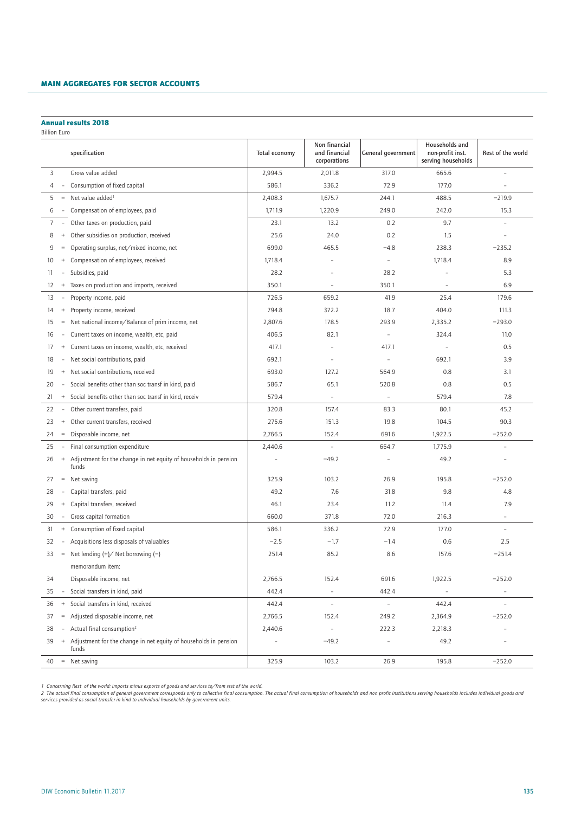#### Main aggregates for sector accounts MAIN AGGREGATES FOR SECTOR ACCOUNTS

### Annual results 2018

Billion Euro

|                |                                   | specification                                                             | Total economy  | Non financial<br>and financial<br>corporations | General government       | Households and<br>non-profit inst.<br>serving households | Rest of the world        |
|----------------|-----------------------------------|---------------------------------------------------------------------------|----------------|------------------------------------------------|--------------------------|----------------------------------------------------------|--------------------------|
| 3              |                                   | Gross value added                                                         | 2,994.5        | 2,011.8                                        | 317.0                    | 665.6                                                    |                          |
| 4              | $\overline{\phantom{a}}$          | Consumption of fixed capital                                              | 586.1          | 336.2                                          | 72.9                     | 177.0                                                    | $\overline{a}$           |
| 5              | $\hspace{0.1cm} = \hspace{0.1cm}$ | Net value added <sup>1</sup>                                              | 2,408.3        | 1,675.7                                        | 244.1                    | 488.5                                                    | $-219.9$                 |
| 6              | $\overline{\phantom{a}}$          | Compensation of employees, paid                                           | 1,711.9        | 1,220.9                                        | 249.0                    | 242.0                                                    | 15.3                     |
| $\overline{7}$ | $\sim$                            | Other taxes on production, paid                                           | 23.1           | 13.2                                           | 0.2                      | 9.7                                                      | $\bar{a}$                |
| 8              | $^{+}$                            | Other subsidies on production, received                                   | 25.6           | 24.0                                           | 0.2                      | 1.5                                                      |                          |
| 9              | $=$                               | Operating surplus, net/mixed income, net                                  | 699.0          | 465.5                                          | $-4.8$                   | 238.3                                                    | $-235.2$                 |
| 10             | $^{+}$                            | Compensation of employees, received                                       | 1,718.4        |                                                | $\overline{\phantom{a}}$ | 1,718.4                                                  | 8.9                      |
| 11             | $\overline{\phantom{a}}$          | Subsidies, paid                                                           | 28.2           |                                                | 28.2                     |                                                          | 5.3                      |
| 12             | $\begin{array}{c} + \end{array}$  | Taxes on production and imports, received                                 | 350.1          | $\overline{\phantom{a}}$                       | 350.1                    | ۰                                                        | 6.9                      |
| 13             |                                   | Property income, paid                                                     | 726.5          | 659.2                                          | 41.9                     | 25.4                                                     | 179.6                    |
| 14             | $^{+}$                            | Property income, received                                                 | 794.8          | 372.2                                          | 18.7                     | 404.0                                                    | 111.3                    |
| 15             | $=$                               | Net national income/Balance of prim income, net                           | 2,807.6        | 178.5                                          | 293.9                    | 2,335.2                                                  | $-293.0$                 |
| 16             | $\overline{\phantom{a}}$          | Current taxes on income, wealth, etc, paid                                | 406.5          | 82.1                                           | $\overline{\phantom{a}}$ | 324.4                                                    | 11.0                     |
| 17             | $\begin{array}{c} + \end{array}$  | Current taxes on income, wealth, etc, received                            | 417.1          |                                                | 417.1                    | $\overline{a}$                                           | 0.5                      |
| 18             | $\overline{\phantom{a}}$          | Net social contributions, paid                                            | 692.1          | $\overline{a}$                                 | ÷,                       | 692.1                                                    | 3.9                      |
| 19             | $\begin{array}{c} + \end{array}$  | Net social contributions, received                                        | 693.0          | 127.2                                          | 564.9                    | 0.8                                                      | 3.1                      |
| 20             |                                   | Social benefits other than soc transf in kind, paid                       | 586.7          | 65.1                                           | 520.8                    | 0.8                                                      | 0.5                      |
| 21             | $\begin{array}{c} + \end{array}$  | Social benefits other than soc transf in kind, receiv                     | 579.4          | $\overline{\phantom{a}}$                       | $\bar{\phantom{a}}$      | 579.4                                                    | 7.8                      |
| 22             | $\overline{\phantom{a}}$          | Other current transfers, paid                                             | 320.8          | 157.4                                          | 83.3                     | 80.1                                                     | 45.2                     |
| 23             | $\begin{array}{c} + \end{array}$  | Other current transfers, received                                         | 275.6          | 151.3                                          | 19.8                     | 104.5                                                    | 90.3                     |
| 24             | $\hspace{1.6cm} = \hspace{1.6cm}$ | Disposable income, net                                                    | 2,766.5        | 152.4                                          | 691.6                    | 1,922.5                                                  | $-252.0$                 |
| 25             | $\overline{\phantom{a}}$          | Final consumption expenditure                                             | 2,440.6        | $\bar{\phantom{a}}$                            | 664.7                    | 1,775.9                                                  | $\overline{a}$           |
| 26             | $+$                               | Adjustment for the change in net equity of households in pension<br>funds | $\overline{a}$ | $-49.2$                                        | $\overline{a}$           | 49.2                                                     |                          |
| 27             | $\hspace{0.1cm} = \hspace{0.1cm}$ | Net saving                                                                | 325.9          | 103.2                                          | 26.9                     | 195.8                                                    | $-252.0$                 |
| 28             |                                   | Capital transfers, paid                                                   | 49.2           | 7.6                                            | 31.8                     | 9.8                                                      | 4.8                      |
| 29             | $\begin{array}{c} + \end{array}$  | Capital transfers, received                                               | 46.1           | 23.4                                           | 11.2                     | 11.4                                                     | 7.9                      |
| 30             | $\overline{\phantom{a}}$          | Gross capital formation                                                   | 660.0          | 371.8                                          | 72.0                     | 216.3                                                    | $\overline{\phantom{a}}$ |
| 31             | $\begin{array}{c} + \end{array}$  | Consumption of fixed capital                                              | 586.1          | 336.2                                          | 72.9                     | 177.0                                                    | $\sim$                   |
| 32             | $\overline{\phantom{a}}$          | Acquisitions less disposals of valuables                                  | $-2.5$         | $-1.7$                                         | $-1.4$                   | 0.6                                                      | 2.5                      |
| 33             | $\hspace{0.1cm} = \hspace{0.1cm}$ | Net lending $(+)/$ Net borrowing $(-)$                                    | 251.4          | 85.2                                           | 8.6                      | 157.6                                                    | $-251.4$                 |
|                |                                   | memorandum item:                                                          |                |                                                |                          |                                                          |                          |
| 34             |                                   | Disposable income, net                                                    | 2,766.5        | 152.4                                          | 691.6                    | 1,922.5                                                  | $-252.0$                 |
| 35             |                                   | Social transfers in kind, paid                                            | 442.4          | $\bar{\phantom{a}}$                            | 442.4                    |                                                          | $\overline{\phantom{a}}$ |
| 36             | $^{\mathrm{+}}$                   | Social transfers in kind, received                                        | 442.4          | $\overline{\phantom{a}}$                       | $\overline{\phantom{a}}$ | 442.4                                                    | $\overline{\phantom{a}}$ |
| 37             | $\hspace{1.6cm} = \hspace{1.6cm}$ | Adjusted disposable income, net                                           | 2,766.5        | 152.4                                          | 249.2                    | 2,364.9                                                  | $-252.0$                 |
| 38             |                                   | Actual final consumption <sup>2</sup>                                     | 2,440.6        | $\overline{\phantom{m}}$                       | 222.3                    | 2,218.3                                                  | $\overline{a}$           |
| 39             | $+$                               | Adjustment for the change in net equity of households in pension<br>funds |                | $-49.2$                                        | $\overline{a}$           | 49.2                                                     | $\overline{a}$           |
|                |                                   | $40 =$ Net saving                                                         | 325.9          | 103.2                                          | 26.9                     | 195.8                                                    | $-252.0$                 |

1 Concerning Rest of the world: imports minus exports of goods and services to/from rest of the world.<br>2 The actual final consumption of general government corresponds only to collective final consumption of mouseholds and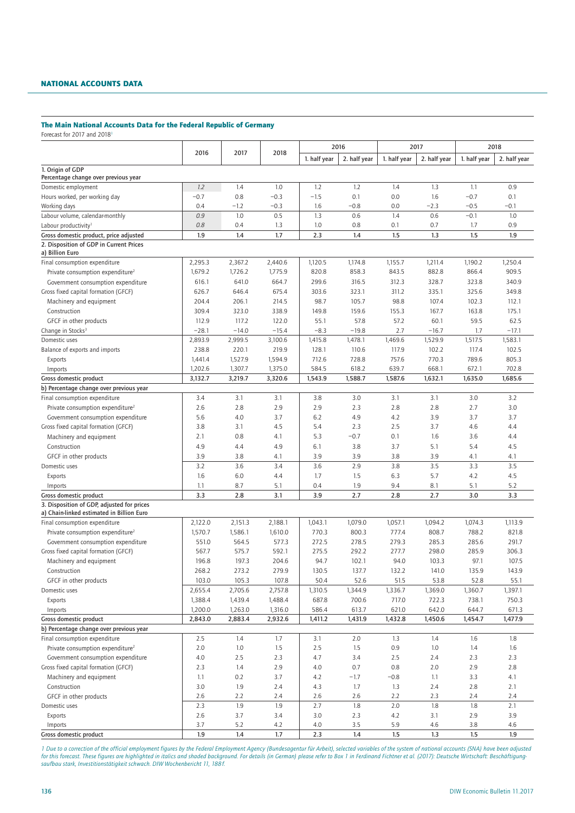# NATIONAL ACCOUNTS DATA

## The Main National Accounts Data for the Federal Republic of Germany

Forecast for 2017 and 2018<sup>1</sup>

| 1. half year<br>2. half year<br>1. half year<br>2. half year<br>1. half year<br>2. half year<br>1. Origin of GDP<br>Percentage change over previous year<br>1.2<br>1.4<br>1.0<br>1.2<br>1.2<br>1.4<br>1.3<br>1.1<br>0.9<br>Domestic employment<br>Hours worked, per working day<br>$-0.7$<br>0.8<br>$-0.3$<br>$-1.5$<br>0.1<br>0.0<br>1.6<br>$-0.7$<br>0.1<br>$-1.2$<br>$-0.3$<br>0.0<br>$-2.3$<br>$-0.5$<br>$-0.1$<br>Working days<br>0.4<br>1.6<br>$-0.8$<br>1.0<br>Labour volume, calendar-monthly<br>0.9<br>0.5<br>1.3<br>0.6<br>0.6<br>$-0.1$<br>1.0<br>1.4<br>0.8<br>1.0<br>0.1<br>1.7<br>0.9<br>0.4<br>1.3<br>0.8<br>0.7<br>Labour productivity <sup>1</sup><br>1.9<br>1.9<br>1.4<br>1.7<br>2.3<br>1.4<br>1.5<br>1.3<br>1.5<br>Gross domestic product, price adjusted<br>2. Disposition of GDP in Current Prices<br>a) Billion Euro<br>2,295.3<br>2,367.2<br>2,440.6<br>1,120.5<br>1,174.8<br>1,155.7<br>1,211.4<br>1,190.2<br>1,250.4<br>Final consumption expenditure<br>1,679.2<br>1,726.2<br>1,775.9<br>820.8<br>858.3<br>843.5<br>909.5<br>882.8<br>866.4<br>Private consumption expenditure <sup>2</sup><br>641.0<br>664.7<br>299.6<br>316.5<br>328.7<br>323.8<br>340.9<br>616.1<br>312.3<br>Government consumption expenditure<br>Gross fixed capital formation (GFCF)<br>646.4<br>675.4<br>303.6<br>323.1<br>311.2<br>325.6<br>349.8<br>626.7<br>335.1<br>105.7<br>98.8<br>112.1<br>Machinery and equipment<br>204.4<br>206.1<br>214.5<br>98.7<br>107.4<br>102.3<br>175.1<br>Construction<br>309.4<br>323.0<br>338.9<br>149.8<br>159.6<br>155.3<br>167.7<br>163.8<br>GFCF in other products<br>57.2<br>59.5<br>62.5<br>112.9<br>117.2<br>122.0<br>55.1<br>57.8<br>60.1<br>$-28.1$<br>$-19.8$<br>2.7<br>1.7<br>$-17.1$<br>Change in Stocks <sup>3</sup><br>$-14.0$<br>$-15.4$<br>$-8.3$<br>$-16.7$<br>Domestic uses<br>1,415.8<br>1,469.6<br>1,583.1<br>2,893.9<br>2,999.5<br>3,100.6<br>1,478.1<br>1,529.9<br>1,517.5<br>Balance of exports and imports<br>238.8<br>220.1<br>219.9<br>128.1<br>110.6<br>117.9<br>102.2<br>117.4<br>102.5<br>728.8<br>805.3<br>Exports<br>1,441.4<br>1,527.9<br>1,594.9<br>712.6<br>757.6<br>770.3<br>789.6<br>1,202.6<br>1,307.7<br>1,375.0<br>618.2<br>639.7<br>672.1<br>702.8<br>Imports<br>584.5<br>668.1<br>Gross domestic product<br>3,132.7<br>3,219.7<br>3,320.6<br>1,543.9<br>1,587.6<br>1,632.1<br>1,635.0<br>1.685.6<br>1.588.7<br>b) Percentage change over previous year<br>3.2<br>Final consumption expenditure<br>3.4<br>3.1<br>3.1<br>3.8<br>3.0<br>3.1<br>3.1<br>3.0<br>2.8<br>2.7<br>3.0<br>Private consumption expenditure <sup>2</sup><br>2.6<br>2.8<br>2.9<br>2.9<br>2.3<br>2.8<br>3.7<br>Government consumption expenditure<br>4.0<br>3.7<br>6.2<br>4.9<br>4.2<br>3.9<br>3.7<br>5.6<br>Gross fixed capital formation (GFCF)<br>3.8<br>4.5<br>2.3<br>2.5<br>3.7<br>4.6<br>4.4<br>3.1<br>5.4<br>0.8<br>$-0.7$<br>0.1<br>1.6<br>3.6<br>4.4<br>2.1<br>4.1<br>5.3<br>Machinery and equipment<br>4.9<br>4.9<br>6.1<br>3.7<br>5.1<br>5.4<br>4.5<br>Construction<br>4.4<br>3.8<br>3.9<br>GFCF in other products<br>3.9<br>3.8<br>4.1<br>3.9<br>3.9<br>3.8<br>4.1<br>4.1<br>3.4<br>2.9<br>3.8<br>3.5<br>3.3<br>3.5<br>3.2<br>3.6<br>3.6<br>Domestic uses<br>1.6<br>6.0<br>1.5<br>6.3<br>5.7<br>4.2<br>4.5<br>Exports<br>4.4<br>1.7<br>1.1<br>8.7<br>5.1<br>0.4<br>1.9<br>9.4<br>8.1<br>5.1<br>5.2<br>Imports<br>3.3<br>2.8<br>3.1<br>3.9<br>2.7<br>2.8<br>2.7<br>3.0<br>3.3<br>Gross domestic product<br>3. Disposition of GDP, adjusted for prices<br>a) Chain-linked estimated in Billion Euro<br>Final consumption expenditure<br>2,151.3<br>2,188.1<br>1,043.1<br>1,079.0<br>1,057.1<br>1,094.2<br>1,074.3<br>1,113.9<br>2,122.0<br>770.3<br>800.3<br>808.7<br>788.2<br>Private consumption expenditure <sup>2</sup><br>1,570.7<br>1,586.1<br>1,610.0<br>777.4<br>821.8<br>Government consumption expenditure<br>551.0<br>564.5<br>577.3<br>272.5<br>278.5<br>279.3<br>285.3<br>285.6<br>291.7<br>Gross fixed capital formation (GFCF)<br>575.7<br>592.1<br>275.5<br>292.2<br>277.7<br>298.0<br>285.9<br>306.3<br>567.7<br>196.8<br>197.3<br>204.6<br>102.1<br>94.0<br>103.3<br>97.1<br>107.5<br>Machinery and equipment<br>94.7<br>268.2<br>273.2<br>279.9<br>130.5<br>137.7<br>132.2<br>141.0<br>135.9<br>143.9<br>Construction<br>GFCF in other products<br>103.0<br>105.3<br>107.8<br>50.4<br>52.6<br>51.5<br>53.8<br>52.8<br>55.1<br>2,655.4<br>2,705.6<br>1,336.7<br>Domestic uses<br>2,757.8<br>1,310.5<br>1,344.9<br>1,369.0<br>1,360.7<br>1,397.1<br>1,388.4<br>1,439.4<br>687.8<br>700.6<br>717.0<br>722.3<br>750.3<br>Exports<br>1,488.4<br>738.1<br>1,200.0<br>1,263.0<br>1,316.0<br>586.4<br>613.7<br>621.0<br>642.0<br>644.7<br>671.3<br>Imports<br>Gross domestic product<br>2,843.0<br>2,883.4<br>2,932.6<br>1,411.2<br>1,431.9<br>1,432.8<br>1,450.6<br>1,454.7<br>1,477.9<br>b) Percentage change over previous year<br>Final consumption expenditure<br>2.5<br>1.4<br>1.4<br>1.8<br>1.7<br>3.1<br>2.0<br>1.3<br>1.6<br>Private consumption expenditure <sup>2</sup><br>2.0<br>1.0<br>1.5<br>2.5<br>1.5<br>0.9<br>1.0<br>1.6<br>1.4<br>Government consumption expenditure<br>4.0<br>2.5<br>2.3<br>3.4<br>2.5<br>2.4<br>2.3<br>2.3<br>4.7<br>Gross fixed capital formation (GFCF)<br>2.3<br>1.4<br>2.9<br>4.0<br>0.7<br>0.8<br>2.0<br>2.9<br>2.8<br>1.1<br>0.2<br>3.7<br>4.2<br>$-1.7$<br>1.1<br>3.3<br>Machinery and equipment<br>$-0.8$<br>4.1<br>3.0<br>1.9<br>2.4<br>1.7<br>1.3<br>2.4<br>2.8<br>2.1<br>Construction<br>4.3<br>GFCF in other products<br>2.6<br>2.2<br>2.6<br>2.2<br>2.3<br>2.4<br>2.4<br>2.6<br>2.4<br>Domestic uses<br>2.3<br>1.9<br>1.9<br>2.7<br>1.8<br>2.0<br>1.8<br>1.8<br>2.1<br>Exports<br>2.6<br>3.7<br>3.4<br>3.0<br>2.3<br>4.2<br>3.1<br>2.9<br>3.9<br>3.7<br>5.2<br>4.2<br>4.0<br>3.5<br>5.9<br>4.6<br>4.6<br>Imports<br>3.8<br>1.9<br>1.7<br>2.3<br>$1.4\,$<br>Gross domestic product<br>1.4<br>1.5<br>1.3<br>1.5<br>1.9 |      |      |      | 2016 |  | 2017 |  | 2018 |  |
|-------------------------------------------------------------------------------------------------------------------------------------------------------------------------------------------------------------------------------------------------------------------------------------------------------------------------------------------------------------------------------------------------------------------------------------------------------------------------------------------------------------------------------------------------------------------------------------------------------------------------------------------------------------------------------------------------------------------------------------------------------------------------------------------------------------------------------------------------------------------------------------------------------------------------------------------------------------------------------------------------------------------------------------------------------------------------------------------------------------------------------------------------------------------------------------------------------------------------------------------------------------------------------------------------------------------------------------------------------------------------------------------------------------------------------------------------------------------------------------------------------------------------------------------------------------------------------------------------------------------------------------------------------------------------------------------------------------------------------------------------------------------------------------------------------------------------------------------------------------------------------------------------------------------------------------------------------------------------------------------------------------------------------------------------------------------------------------------------------------------------------------------------------------------------------------------------------------------------------------------------------------------------------------------------------------------------------------------------------------------------------------------------------------------------------------------------------------------------------------------------------------------------------------------------------------------------------------------------------------------------------------------------------------------------------------------------------------------------------------------------------------------------------------------------------------------------------------------------------------------------------------------------------------------------------------------------------------------------------------------------------------------------------------------------------------------------------------------------------------------------------------------------------------------------------------------------------------------------------------------------------------------------------------------------------------------------------------------------------------------------------------------------------------------------------------------------------------------------------------------------------------------------------------------------------------------------------------------------------------------------------------------------------------------------------------------------------------------------------------------------------------------------------------------------------------------------------------------------------------------------------------------------------------------------------------------------------------------------------------------------------------------------------------------------------------------------------------------------------------------------------------------------------------------------------------------------------------------------------------------------------------------------------------------------------------------------------------------------------------------------------------------------------------------------------------------------------------------------------------------------------------------------------------------------------------------------------------------------------------------------------------------------------------------------------------------------------------------------------------------------------------------------------------------------------------------------------------------------------------------------------------------------------------------------------------------------------------------------------------------------------------------------------------------------------------------------------------------------------------------------------------------------------------------------------------------------------------------------------------------------------------------------------------------------------------------------------------------------------------------------------------------------------------------------------------------------------------------------------------------------------------------------------------------------------------------------------------------------------------------------------------------------------------------------------------------------------------------------------------------------------------------------------------------------------------------------------------------------------------------------------------------------------------------------------------------|------|------|------|------|--|------|--|------|--|
|                                                                                                                                                                                                                                                                                                                                                                                                                                                                                                                                                                                                                                                                                                                                                                                                                                                                                                                                                                                                                                                                                                                                                                                                                                                                                                                                                                                                                                                                                                                                                                                                                                                                                                                                                                                                                                                                                                                                                                                                                                                                                                                                                                                                                                                                                                                                                                                                                                                                                                                                                                                                                                                                                                                                                                                                                                                                                                                                                                                                                                                                                                                                                                                                                                                                                                                                                                                                                                                                                                                                                                                                                                                                                                                                                                                                                                                                                                                                                                                                                                                                                                                                                                                                                                                                                                                                                                                                                                                                                                                                                                                                                                                                                                                                                                                                                                                                                                                                                                                                                                                                                                                                                                                                                                                                                                                                                                                                                                                                                                                                                                                                                                                                                                                                                                                                                                                                                                                                           | 2016 | 2017 | 2018 |      |  |      |  |      |  |
|                                                                                                                                                                                                                                                                                                                                                                                                                                                                                                                                                                                                                                                                                                                                                                                                                                                                                                                                                                                                                                                                                                                                                                                                                                                                                                                                                                                                                                                                                                                                                                                                                                                                                                                                                                                                                                                                                                                                                                                                                                                                                                                                                                                                                                                                                                                                                                                                                                                                                                                                                                                                                                                                                                                                                                                                                                                                                                                                                                                                                                                                                                                                                                                                                                                                                                                                                                                                                                                                                                                                                                                                                                                                                                                                                                                                                                                                                                                                                                                                                                                                                                                                                                                                                                                                                                                                                                                                                                                                                                                                                                                                                                                                                                                                                                                                                                                                                                                                                                                                                                                                                                                                                                                                                                                                                                                                                                                                                                                                                                                                                                                                                                                                                                                                                                                                                                                                                                                                           |      |      |      |      |  |      |  |      |  |
|                                                                                                                                                                                                                                                                                                                                                                                                                                                                                                                                                                                                                                                                                                                                                                                                                                                                                                                                                                                                                                                                                                                                                                                                                                                                                                                                                                                                                                                                                                                                                                                                                                                                                                                                                                                                                                                                                                                                                                                                                                                                                                                                                                                                                                                                                                                                                                                                                                                                                                                                                                                                                                                                                                                                                                                                                                                                                                                                                                                                                                                                                                                                                                                                                                                                                                                                                                                                                                                                                                                                                                                                                                                                                                                                                                                                                                                                                                                                                                                                                                                                                                                                                                                                                                                                                                                                                                                                                                                                                                                                                                                                                                                                                                                                                                                                                                                                                                                                                                                                                                                                                                                                                                                                                                                                                                                                                                                                                                                                                                                                                                                                                                                                                                                                                                                                                                                                                                                                           |      |      |      |      |  |      |  |      |  |
|                                                                                                                                                                                                                                                                                                                                                                                                                                                                                                                                                                                                                                                                                                                                                                                                                                                                                                                                                                                                                                                                                                                                                                                                                                                                                                                                                                                                                                                                                                                                                                                                                                                                                                                                                                                                                                                                                                                                                                                                                                                                                                                                                                                                                                                                                                                                                                                                                                                                                                                                                                                                                                                                                                                                                                                                                                                                                                                                                                                                                                                                                                                                                                                                                                                                                                                                                                                                                                                                                                                                                                                                                                                                                                                                                                                                                                                                                                                                                                                                                                                                                                                                                                                                                                                                                                                                                                                                                                                                                                                                                                                                                                                                                                                                                                                                                                                                                                                                                                                                                                                                                                                                                                                                                                                                                                                                                                                                                                                                                                                                                                                                                                                                                                                                                                                                                                                                                                                                           |      |      |      |      |  |      |  |      |  |
|                                                                                                                                                                                                                                                                                                                                                                                                                                                                                                                                                                                                                                                                                                                                                                                                                                                                                                                                                                                                                                                                                                                                                                                                                                                                                                                                                                                                                                                                                                                                                                                                                                                                                                                                                                                                                                                                                                                                                                                                                                                                                                                                                                                                                                                                                                                                                                                                                                                                                                                                                                                                                                                                                                                                                                                                                                                                                                                                                                                                                                                                                                                                                                                                                                                                                                                                                                                                                                                                                                                                                                                                                                                                                                                                                                                                                                                                                                                                                                                                                                                                                                                                                                                                                                                                                                                                                                                                                                                                                                                                                                                                                                                                                                                                                                                                                                                                                                                                                                                                                                                                                                                                                                                                                                                                                                                                                                                                                                                                                                                                                                                                                                                                                                                                                                                                                                                                                                                                           |      |      |      |      |  |      |  |      |  |
|                                                                                                                                                                                                                                                                                                                                                                                                                                                                                                                                                                                                                                                                                                                                                                                                                                                                                                                                                                                                                                                                                                                                                                                                                                                                                                                                                                                                                                                                                                                                                                                                                                                                                                                                                                                                                                                                                                                                                                                                                                                                                                                                                                                                                                                                                                                                                                                                                                                                                                                                                                                                                                                                                                                                                                                                                                                                                                                                                                                                                                                                                                                                                                                                                                                                                                                                                                                                                                                                                                                                                                                                                                                                                                                                                                                                                                                                                                                                                                                                                                                                                                                                                                                                                                                                                                                                                                                                                                                                                                                                                                                                                                                                                                                                                                                                                                                                                                                                                                                                                                                                                                                                                                                                                                                                                                                                                                                                                                                                                                                                                                                                                                                                                                                                                                                                                                                                                                                                           |      |      |      |      |  |      |  |      |  |
|                                                                                                                                                                                                                                                                                                                                                                                                                                                                                                                                                                                                                                                                                                                                                                                                                                                                                                                                                                                                                                                                                                                                                                                                                                                                                                                                                                                                                                                                                                                                                                                                                                                                                                                                                                                                                                                                                                                                                                                                                                                                                                                                                                                                                                                                                                                                                                                                                                                                                                                                                                                                                                                                                                                                                                                                                                                                                                                                                                                                                                                                                                                                                                                                                                                                                                                                                                                                                                                                                                                                                                                                                                                                                                                                                                                                                                                                                                                                                                                                                                                                                                                                                                                                                                                                                                                                                                                                                                                                                                                                                                                                                                                                                                                                                                                                                                                                                                                                                                                                                                                                                                                                                                                                                                                                                                                                                                                                                                                                                                                                                                                                                                                                                                                                                                                                                                                                                                                                           |      |      |      |      |  |      |  |      |  |
|                                                                                                                                                                                                                                                                                                                                                                                                                                                                                                                                                                                                                                                                                                                                                                                                                                                                                                                                                                                                                                                                                                                                                                                                                                                                                                                                                                                                                                                                                                                                                                                                                                                                                                                                                                                                                                                                                                                                                                                                                                                                                                                                                                                                                                                                                                                                                                                                                                                                                                                                                                                                                                                                                                                                                                                                                                                                                                                                                                                                                                                                                                                                                                                                                                                                                                                                                                                                                                                                                                                                                                                                                                                                                                                                                                                                                                                                                                                                                                                                                                                                                                                                                                                                                                                                                                                                                                                                                                                                                                                                                                                                                                                                                                                                                                                                                                                                                                                                                                                                                                                                                                                                                                                                                                                                                                                                                                                                                                                                                                                                                                                                                                                                                                                                                                                                                                                                                                                                           |      |      |      |      |  |      |  |      |  |
|                                                                                                                                                                                                                                                                                                                                                                                                                                                                                                                                                                                                                                                                                                                                                                                                                                                                                                                                                                                                                                                                                                                                                                                                                                                                                                                                                                                                                                                                                                                                                                                                                                                                                                                                                                                                                                                                                                                                                                                                                                                                                                                                                                                                                                                                                                                                                                                                                                                                                                                                                                                                                                                                                                                                                                                                                                                                                                                                                                                                                                                                                                                                                                                                                                                                                                                                                                                                                                                                                                                                                                                                                                                                                                                                                                                                                                                                                                                                                                                                                                                                                                                                                                                                                                                                                                                                                                                                                                                                                                                                                                                                                                                                                                                                                                                                                                                                                                                                                                                                                                                                                                                                                                                                                                                                                                                                                                                                                                                                                                                                                                                                                                                                                                                                                                                                                                                                                                                                           |      |      |      |      |  |      |  |      |  |
|                                                                                                                                                                                                                                                                                                                                                                                                                                                                                                                                                                                                                                                                                                                                                                                                                                                                                                                                                                                                                                                                                                                                                                                                                                                                                                                                                                                                                                                                                                                                                                                                                                                                                                                                                                                                                                                                                                                                                                                                                                                                                                                                                                                                                                                                                                                                                                                                                                                                                                                                                                                                                                                                                                                                                                                                                                                                                                                                                                                                                                                                                                                                                                                                                                                                                                                                                                                                                                                                                                                                                                                                                                                                                                                                                                                                                                                                                                                                                                                                                                                                                                                                                                                                                                                                                                                                                                                                                                                                                                                                                                                                                                                                                                                                                                                                                                                                                                                                                                                                                                                                                                                                                                                                                                                                                                                                                                                                                                                                                                                                                                                                                                                                                                                                                                                                                                                                                                                                           |      |      |      |      |  |      |  |      |  |
|                                                                                                                                                                                                                                                                                                                                                                                                                                                                                                                                                                                                                                                                                                                                                                                                                                                                                                                                                                                                                                                                                                                                                                                                                                                                                                                                                                                                                                                                                                                                                                                                                                                                                                                                                                                                                                                                                                                                                                                                                                                                                                                                                                                                                                                                                                                                                                                                                                                                                                                                                                                                                                                                                                                                                                                                                                                                                                                                                                                                                                                                                                                                                                                                                                                                                                                                                                                                                                                                                                                                                                                                                                                                                                                                                                                                                                                                                                                                                                                                                                                                                                                                                                                                                                                                                                                                                                                                                                                                                                                                                                                                                                                                                                                                                                                                                                                                                                                                                                                                                                                                                                                                                                                                                                                                                                                                                                                                                                                                                                                                                                                                                                                                                                                                                                                                                                                                                                                                           |      |      |      |      |  |      |  |      |  |
|                                                                                                                                                                                                                                                                                                                                                                                                                                                                                                                                                                                                                                                                                                                                                                                                                                                                                                                                                                                                                                                                                                                                                                                                                                                                                                                                                                                                                                                                                                                                                                                                                                                                                                                                                                                                                                                                                                                                                                                                                                                                                                                                                                                                                                                                                                                                                                                                                                                                                                                                                                                                                                                                                                                                                                                                                                                                                                                                                                                                                                                                                                                                                                                                                                                                                                                                                                                                                                                                                                                                                                                                                                                                                                                                                                                                                                                                                                                                                                                                                                                                                                                                                                                                                                                                                                                                                                                                                                                                                                                                                                                                                                                                                                                                                                                                                                                                                                                                                                                                                                                                                                                                                                                                                                                                                                                                                                                                                                                                                                                                                                                                                                                                                                                                                                                                                                                                                                                                           |      |      |      |      |  |      |  |      |  |
|                                                                                                                                                                                                                                                                                                                                                                                                                                                                                                                                                                                                                                                                                                                                                                                                                                                                                                                                                                                                                                                                                                                                                                                                                                                                                                                                                                                                                                                                                                                                                                                                                                                                                                                                                                                                                                                                                                                                                                                                                                                                                                                                                                                                                                                                                                                                                                                                                                                                                                                                                                                                                                                                                                                                                                                                                                                                                                                                                                                                                                                                                                                                                                                                                                                                                                                                                                                                                                                                                                                                                                                                                                                                                                                                                                                                                                                                                                                                                                                                                                                                                                                                                                                                                                                                                                                                                                                                                                                                                                                                                                                                                                                                                                                                                                                                                                                                                                                                                                                                                                                                                                                                                                                                                                                                                                                                                                                                                                                                                                                                                                                                                                                                                                                                                                                                                                                                                                                                           |      |      |      |      |  |      |  |      |  |
|                                                                                                                                                                                                                                                                                                                                                                                                                                                                                                                                                                                                                                                                                                                                                                                                                                                                                                                                                                                                                                                                                                                                                                                                                                                                                                                                                                                                                                                                                                                                                                                                                                                                                                                                                                                                                                                                                                                                                                                                                                                                                                                                                                                                                                                                                                                                                                                                                                                                                                                                                                                                                                                                                                                                                                                                                                                                                                                                                                                                                                                                                                                                                                                                                                                                                                                                                                                                                                                                                                                                                                                                                                                                                                                                                                                                                                                                                                                                                                                                                                                                                                                                                                                                                                                                                                                                                                                                                                                                                                                                                                                                                                                                                                                                                                                                                                                                                                                                                                                                                                                                                                                                                                                                                                                                                                                                                                                                                                                                                                                                                                                                                                                                                                                                                                                                                                                                                                                                           |      |      |      |      |  |      |  |      |  |
|                                                                                                                                                                                                                                                                                                                                                                                                                                                                                                                                                                                                                                                                                                                                                                                                                                                                                                                                                                                                                                                                                                                                                                                                                                                                                                                                                                                                                                                                                                                                                                                                                                                                                                                                                                                                                                                                                                                                                                                                                                                                                                                                                                                                                                                                                                                                                                                                                                                                                                                                                                                                                                                                                                                                                                                                                                                                                                                                                                                                                                                                                                                                                                                                                                                                                                                                                                                                                                                                                                                                                                                                                                                                                                                                                                                                                                                                                                                                                                                                                                                                                                                                                                                                                                                                                                                                                                                                                                                                                                                                                                                                                                                                                                                                                                                                                                                                                                                                                                                                                                                                                                                                                                                                                                                                                                                                                                                                                                                                                                                                                                                                                                                                                                                                                                                                                                                                                                                                           |      |      |      |      |  |      |  |      |  |
|                                                                                                                                                                                                                                                                                                                                                                                                                                                                                                                                                                                                                                                                                                                                                                                                                                                                                                                                                                                                                                                                                                                                                                                                                                                                                                                                                                                                                                                                                                                                                                                                                                                                                                                                                                                                                                                                                                                                                                                                                                                                                                                                                                                                                                                                                                                                                                                                                                                                                                                                                                                                                                                                                                                                                                                                                                                                                                                                                                                                                                                                                                                                                                                                                                                                                                                                                                                                                                                                                                                                                                                                                                                                                                                                                                                                                                                                                                                                                                                                                                                                                                                                                                                                                                                                                                                                                                                                                                                                                                                                                                                                                                                                                                                                                                                                                                                                                                                                                                                                                                                                                                                                                                                                                                                                                                                                                                                                                                                                                                                                                                                                                                                                                                                                                                                                                                                                                                                                           |      |      |      |      |  |      |  |      |  |
|                                                                                                                                                                                                                                                                                                                                                                                                                                                                                                                                                                                                                                                                                                                                                                                                                                                                                                                                                                                                                                                                                                                                                                                                                                                                                                                                                                                                                                                                                                                                                                                                                                                                                                                                                                                                                                                                                                                                                                                                                                                                                                                                                                                                                                                                                                                                                                                                                                                                                                                                                                                                                                                                                                                                                                                                                                                                                                                                                                                                                                                                                                                                                                                                                                                                                                                                                                                                                                                                                                                                                                                                                                                                                                                                                                                                                                                                                                                                                                                                                                                                                                                                                                                                                                                                                                                                                                                                                                                                                                                                                                                                                                                                                                                                                                                                                                                                                                                                                                                                                                                                                                                                                                                                                                                                                                                                                                                                                                                                                                                                                                                                                                                                                                                                                                                                                                                                                                                                           |      |      |      |      |  |      |  |      |  |
|                                                                                                                                                                                                                                                                                                                                                                                                                                                                                                                                                                                                                                                                                                                                                                                                                                                                                                                                                                                                                                                                                                                                                                                                                                                                                                                                                                                                                                                                                                                                                                                                                                                                                                                                                                                                                                                                                                                                                                                                                                                                                                                                                                                                                                                                                                                                                                                                                                                                                                                                                                                                                                                                                                                                                                                                                                                                                                                                                                                                                                                                                                                                                                                                                                                                                                                                                                                                                                                                                                                                                                                                                                                                                                                                                                                                                                                                                                                                                                                                                                                                                                                                                                                                                                                                                                                                                                                                                                                                                                                                                                                                                                                                                                                                                                                                                                                                                                                                                                                                                                                                                                                                                                                                                                                                                                                                                                                                                                                                                                                                                                                                                                                                                                                                                                                                                                                                                                                                           |      |      |      |      |  |      |  |      |  |
|                                                                                                                                                                                                                                                                                                                                                                                                                                                                                                                                                                                                                                                                                                                                                                                                                                                                                                                                                                                                                                                                                                                                                                                                                                                                                                                                                                                                                                                                                                                                                                                                                                                                                                                                                                                                                                                                                                                                                                                                                                                                                                                                                                                                                                                                                                                                                                                                                                                                                                                                                                                                                                                                                                                                                                                                                                                                                                                                                                                                                                                                                                                                                                                                                                                                                                                                                                                                                                                                                                                                                                                                                                                                                                                                                                                                                                                                                                                                                                                                                                                                                                                                                                                                                                                                                                                                                                                                                                                                                                                                                                                                                                                                                                                                                                                                                                                                                                                                                                                                                                                                                                                                                                                                                                                                                                                                                                                                                                                                                                                                                                                                                                                                                                                                                                                                                                                                                                                                           |      |      |      |      |  |      |  |      |  |
|                                                                                                                                                                                                                                                                                                                                                                                                                                                                                                                                                                                                                                                                                                                                                                                                                                                                                                                                                                                                                                                                                                                                                                                                                                                                                                                                                                                                                                                                                                                                                                                                                                                                                                                                                                                                                                                                                                                                                                                                                                                                                                                                                                                                                                                                                                                                                                                                                                                                                                                                                                                                                                                                                                                                                                                                                                                                                                                                                                                                                                                                                                                                                                                                                                                                                                                                                                                                                                                                                                                                                                                                                                                                                                                                                                                                                                                                                                                                                                                                                                                                                                                                                                                                                                                                                                                                                                                                                                                                                                                                                                                                                                                                                                                                                                                                                                                                                                                                                                                                                                                                                                                                                                                                                                                                                                                                                                                                                                                                                                                                                                                                                                                                                                                                                                                                                                                                                                                                           |      |      |      |      |  |      |  |      |  |
|                                                                                                                                                                                                                                                                                                                                                                                                                                                                                                                                                                                                                                                                                                                                                                                                                                                                                                                                                                                                                                                                                                                                                                                                                                                                                                                                                                                                                                                                                                                                                                                                                                                                                                                                                                                                                                                                                                                                                                                                                                                                                                                                                                                                                                                                                                                                                                                                                                                                                                                                                                                                                                                                                                                                                                                                                                                                                                                                                                                                                                                                                                                                                                                                                                                                                                                                                                                                                                                                                                                                                                                                                                                                                                                                                                                                                                                                                                                                                                                                                                                                                                                                                                                                                                                                                                                                                                                                                                                                                                                                                                                                                                                                                                                                                                                                                                                                                                                                                                                                                                                                                                                                                                                                                                                                                                                                                                                                                                                                                                                                                                                                                                                                                                                                                                                                                                                                                                                                           |      |      |      |      |  |      |  |      |  |
|                                                                                                                                                                                                                                                                                                                                                                                                                                                                                                                                                                                                                                                                                                                                                                                                                                                                                                                                                                                                                                                                                                                                                                                                                                                                                                                                                                                                                                                                                                                                                                                                                                                                                                                                                                                                                                                                                                                                                                                                                                                                                                                                                                                                                                                                                                                                                                                                                                                                                                                                                                                                                                                                                                                                                                                                                                                                                                                                                                                                                                                                                                                                                                                                                                                                                                                                                                                                                                                                                                                                                                                                                                                                                                                                                                                                                                                                                                                                                                                                                                                                                                                                                                                                                                                                                                                                                                                                                                                                                                                                                                                                                                                                                                                                                                                                                                                                                                                                                                                                                                                                                                                                                                                                                                                                                                                                                                                                                                                                                                                                                                                                                                                                                                                                                                                                                                                                                                                                           |      |      |      |      |  |      |  |      |  |
|                                                                                                                                                                                                                                                                                                                                                                                                                                                                                                                                                                                                                                                                                                                                                                                                                                                                                                                                                                                                                                                                                                                                                                                                                                                                                                                                                                                                                                                                                                                                                                                                                                                                                                                                                                                                                                                                                                                                                                                                                                                                                                                                                                                                                                                                                                                                                                                                                                                                                                                                                                                                                                                                                                                                                                                                                                                                                                                                                                                                                                                                                                                                                                                                                                                                                                                                                                                                                                                                                                                                                                                                                                                                                                                                                                                                                                                                                                                                                                                                                                                                                                                                                                                                                                                                                                                                                                                                                                                                                                                                                                                                                                                                                                                                                                                                                                                                                                                                                                                                                                                                                                                                                                                                                                                                                                                                                                                                                                                                                                                                                                                                                                                                                                                                                                                                                                                                                                                                           |      |      |      |      |  |      |  |      |  |
|                                                                                                                                                                                                                                                                                                                                                                                                                                                                                                                                                                                                                                                                                                                                                                                                                                                                                                                                                                                                                                                                                                                                                                                                                                                                                                                                                                                                                                                                                                                                                                                                                                                                                                                                                                                                                                                                                                                                                                                                                                                                                                                                                                                                                                                                                                                                                                                                                                                                                                                                                                                                                                                                                                                                                                                                                                                                                                                                                                                                                                                                                                                                                                                                                                                                                                                                                                                                                                                                                                                                                                                                                                                                                                                                                                                                                                                                                                                                                                                                                                                                                                                                                                                                                                                                                                                                                                                                                                                                                                                                                                                                                                                                                                                                                                                                                                                                                                                                                                                                                                                                                                                                                                                                                                                                                                                                                                                                                                                                                                                                                                                                                                                                                                                                                                                                                                                                                                                                           |      |      |      |      |  |      |  |      |  |
|                                                                                                                                                                                                                                                                                                                                                                                                                                                                                                                                                                                                                                                                                                                                                                                                                                                                                                                                                                                                                                                                                                                                                                                                                                                                                                                                                                                                                                                                                                                                                                                                                                                                                                                                                                                                                                                                                                                                                                                                                                                                                                                                                                                                                                                                                                                                                                                                                                                                                                                                                                                                                                                                                                                                                                                                                                                                                                                                                                                                                                                                                                                                                                                                                                                                                                                                                                                                                                                                                                                                                                                                                                                                                                                                                                                                                                                                                                                                                                                                                                                                                                                                                                                                                                                                                                                                                                                                                                                                                                                                                                                                                                                                                                                                                                                                                                                                                                                                                                                                                                                                                                                                                                                                                                                                                                                                                                                                                                                                                                                                                                                                                                                                                                                                                                                                                                                                                                                                           |      |      |      |      |  |      |  |      |  |
|                                                                                                                                                                                                                                                                                                                                                                                                                                                                                                                                                                                                                                                                                                                                                                                                                                                                                                                                                                                                                                                                                                                                                                                                                                                                                                                                                                                                                                                                                                                                                                                                                                                                                                                                                                                                                                                                                                                                                                                                                                                                                                                                                                                                                                                                                                                                                                                                                                                                                                                                                                                                                                                                                                                                                                                                                                                                                                                                                                                                                                                                                                                                                                                                                                                                                                                                                                                                                                                                                                                                                                                                                                                                                                                                                                                                                                                                                                                                                                                                                                                                                                                                                                                                                                                                                                                                                                                                                                                                                                                                                                                                                                                                                                                                                                                                                                                                                                                                                                                                                                                                                                                                                                                                                                                                                                                                                                                                                                                                                                                                                                                                                                                                                                                                                                                                                                                                                                                                           |      |      |      |      |  |      |  |      |  |
|                                                                                                                                                                                                                                                                                                                                                                                                                                                                                                                                                                                                                                                                                                                                                                                                                                                                                                                                                                                                                                                                                                                                                                                                                                                                                                                                                                                                                                                                                                                                                                                                                                                                                                                                                                                                                                                                                                                                                                                                                                                                                                                                                                                                                                                                                                                                                                                                                                                                                                                                                                                                                                                                                                                                                                                                                                                                                                                                                                                                                                                                                                                                                                                                                                                                                                                                                                                                                                                                                                                                                                                                                                                                                                                                                                                                                                                                                                                                                                                                                                                                                                                                                                                                                                                                                                                                                                                                                                                                                                                                                                                                                                                                                                                                                                                                                                                                                                                                                                                                                                                                                                                                                                                                                                                                                                                                                                                                                                                                                                                                                                                                                                                                                                                                                                                                                                                                                                                                           |      |      |      |      |  |      |  |      |  |
|                                                                                                                                                                                                                                                                                                                                                                                                                                                                                                                                                                                                                                                                                                                                                                                                                                                                                                                                                                                                                                                                                                                                                                                                                                                                                                                                                                                                                                                                                                                                                                                                                                                                                                                                                                                                                                                                                                                                                                                                                                                                                                                                                                                                                                                                                                                                                                                                                                                                                                                                                                                                                                                                                                                                                                                                                                                                                                                                                                                                                                                                                                                                                                                                                                                                                                                                                                                                                                                                                                                                                                                                                                                                                                                                                                                                                                                                                                                                                                                                                                                                                                                                                                                                                                                                                                                                                                                                                                                                                                                                                                                                                                                                                                                                                                                                                                                                                                                                                                                                                                                                                                                                                                                                                                                                                                                                                                                                                                                                                                                                                                                                                                                                                                                                                                                                                                                                                                                                           |      |      |      |      |  |      |  |      |  |
|                                                                                                                                                                                                                                                                                                                                                                                                                                                                                                                                                                                                                                                                                                                                                                                                                                                                                                                                                                                                                                                                                                                                                                                                                                                                                                                                                                                                                                                                                                                                                                                                                                                                                                                                                                                                                                                                                                                                                                                                                                                                                                                                                                                                                                                                                                                                                                                                                                                                                                                                                                                                                                                                                                                                                                                                                                                                                                                                                                                                                                                                                                                                                                                                                                                                                                                                                                                                                                                                                                                                                                                                                                                                                                                                                                                                                                                                                                                                                                                                                                                                                                                                                                                                                                                                                                                                                                                                                                                                                                                                                                                                                                                                                                                                                                                                                                                                                                                                                                                                                                                                                                                                                                                                                                                                                                                                                                                                                                                                                                                                                                                                                                                                                                                                                                                                                                                                                                                                           |      |      |      |      |  |      |  |      |  |
|                                                                                                                                                                                                                                                                                                                                                                                                                                                                                                                                                                                                                                                                                                                                                                                                                                                                                                                                                                                                                                                                                                                                                                                                                                                                                                                                                                                                                                                                                                                                                                                                                                                                                                                                                                                                                                                                                                                                                                                                                                                                                                                                                                                                                                                                                                                                                                                                                                                                                                                                                                                                                                                                                                                                                                                                                                                                                                                                                                                                                                                                                                                                                                                                                                                                                                                                                                                                                                                                                                                                                                                                                                                                                                                                                                                                                                                                                                                                                                                                                                                                                                                                                                                                                                                                                                                                                                                                                                                                                                                                                                                                                                                                                                                                                                                                                                                                                                                                                                                                                                                                                                                                                                                                                                                                                                                                                                                                                                                                                                                                                                                                                                                                                                                                                                                                                                                                                                                                           |      |      |      |      |  |      |  |      |  |
|                                                                                                                                                                                                                                                                                                                                                                                                                                                                                                                                                                                                                                                                                                                                                                                                                                                                                                                                                                                                                                                                                                                                                                                                                                                                                                                                                                                                                                                                                                                                                                                                                                                                                                                                                                                                                                                                                                                                                                                                                                                                                                                                                                                                                                                                                                                                                                                                                                                                                                                                                                                                                                                                                                                                                                                                                                                                                                                                                                                                                                                                                                                                                                                                                                                                                                                                                                                                                                                                                                                                                                                                                                                                                                                                                                                                                                                                                                                                                                                                                                                                                                                                                                                                                                                                                                                                                                                                                                                                                                                                                                                                                                                                                                                                                                                                                                                                                                                                                                                                                                                                                                                                                                                                                                                                                                                                                                                                                                                                                                                                                                                                                                                                                                                                                                                                                                                                                                                                           |      |      |      |      |  |      |  |      |  |
|                                                                                                                                                                                                                                                                                                                                                                                                                                                                                                                                                                                                                                                                                                                                                                                                                                                                                                                                                                                                                                                                                                                                                                                                                                                                                                                                                                                                                                                                                                                                                                                                                                                                                                                                                                                                                                                                                                                                                                                                                                                                                                                                                                                                                                                                                                                                                                                                                                                                                                                                                                                                                                                                                                                                                                                                                                                                                                                                                                                                                                                                                                                                                                                                                                                                                                                                                                                                                                                                                                                                                                                                                                                                                                                                                                                                                                                                                                                                                                                                                                                                                                                                                                                                                                                                                                                                                                                                                                                                                                                                                                                                                                                                                                                                                                                                                                                                                                                                                                                                                                                                                                                                                                                                                                                                                                                                                                                                                                                                                                                                                                                                                                                                                                                                                                                                                                                                                                                                           |      |      |      |      |  |      |  |      |  |
|                                                                                                                                                                                                                                                                                                                                                                                                                                                                                                                                                                                                                                                                                                                                                                                                                                                                                                                                                                                                                                                                                                                                                                                                                                                                                                                                                                                                                                                                                                                                                                                                                                                                                                                                                                                                                                                                                                                                                                                                                                                                                                                                                                                                                                                                                                                                                                                                                                                                                                                                                                                                                                                                                                                                                                                                                                                                                                                                                                                                                                                                                                                                                                                                                                                                                                                                                                                                                                                                                                                                                                                                                                                                                                                                                                                                                                                                                                                                                                                                                                                                                                                                                                                                                                                                                                                                                                                                                                                                                                                                                                                                                                                                                                                                                                                                                                                                                                                                                                                                                                                                                                                                                                                                                                                                                                                                                                                                                                                                                                                                                                                                                                                                                                                                                                                                                                                                                                                                           |      |      |      |      |  |      |  |      |  |
|                                                                                                                                                                                                                                                                                                                                                                                                                                                                                                                                                                                                                                                                                                                                                                                                                                                                                                                                                                                                                                                                                                                                                                                                                                                                                                                                                                                                                                                                                                                                                                                                                                                                                                                                                                                                                                                                                                                                                                                                                                                                                                                                                                                                                                                                                                                                                                                                                                                                                                                                                                                                                                                                                                                                                                                                                                                                                                                                                                                                                                                                                                                                                                                                                                                                                                                                                                                                                                                                                                                                                                                                                                                                                                                                                                                                                                                                                                                                                                                                                                                                                                                                                                                                                                                                                                                                                                                                                                                                                                                                                                                                                                                                                                                                                                                                                                                                                                                                                                                                                                                                                                                                                                                                                                                                                                                                                                                                                                                                                                                                                                                                                                                                                                                                                                                                                                                                                                                                           |      |      |      |      |  |      |  |      |  |
|                                                                                                                                                                                                                                                                                                                                                                                                                                                                                                                                                                                                                                                                                                                                                                                                                                                                                                                                                                                                                                                                                                                                                                                                                                                                                                                                                                                                                                                                                                                                                                                                                                                                                                                                                                                                                                                                                                                                                                                                                                                                                                                                                                                                                                                                                                                                                                                                                                                                                                                                                                                                                                                                                                                                                                                                                                                                                                                                                                                                                                                                                                                                                                                                                                                                                                                                                                                                                                                                                                                                                                                                                                                                                                                                                                                                                                                                                                                                                                                                                                                                                                                                                                                                                                                                                                                                                                                                                                                                                                                                                                                                                                                                                                                                                                                                                                                                                                                                                                                                                                                                                                                                                                                                                                                                                                                                                                                                                                                                                                                                                                                                                                                                                                                                                                                                                                                                                                                                           |      |      |      |      |  |      |  |      |  |
|                                                                                                                                                                                                                                                                                                                                                                                                                                                                                                                                                                                                                                                                                                                                                                                                                                                                                                                                                                                                                                                                                                                                                                                                                                                                                                                                                                                                                                                                                                                                                                                                                                                                                                                                                                                                                                                                                                                                                                                                                                                                                                                                                                                                                                                                                                                                                                                                                                                                                                                                                                                                                                                                                                                                                                                                                                                                                                                                                                                                                                                                                                                                                                                                                                                                                                                                                                                                                                                                                                                                                                                                                                                                                                                                                                                                                                                                                                                                                                                                                                                                                                                                                                                                                                                                                                                                                                                                                                                                                                                                                                                                                                                                                                                                                                                                                                                                                                                                                                                                                                                                                                                                                                                                                                                                                                                                                                                                                                                                                                                                                                                                                                                                                                                                                                                                                                                                                                                                           |      |      |      |      |  |      |  |      |  |
|                                                                                                                                                                                                                                                                                                                                                                                                                                                                                                                                                                                                                                                                                                                                                                                                                                                                                                                                                                                                                                                                                                                                                                                                                                                                                                                                                                                                                                                                                                                                                                                                                                                                                                                                                                                                                                                                                                                                                                                                                                                                                                                                                                                                                                                                                                                                                                                                                                                                                                                                                                                                                                                                                                                                                                                                                                                                                                                                                                                                                                                                                                                                                                                                                                                                                                                                                                                                                                                                                                                                                                                                                                                                                                                                                                                                                                                                                                                                                                                                                                                                                                                                                                                                                                                                                                                                                                                                                                                                                                                                                                                                                                                                                                                                                                                                                                                                                                                                                                                                                                                                                                                                                                                                                                                                                                                                                                                                                                                                                                                                                                                                                                                                                                                                                                                                                                                                                                                                           |      |      |      |      |  |      |  |      |  |
|                                                                                                                                                                                                                                                                                                                                                                                                                                                                                                                                                                                                                                                                                                                                                                                                                                                                                                                                                                                                                                                                                                                                                                                                                                                                                                                                                                                                                                                                                                                                                                                                                                                                                                                                                                                                                                                                                                                                                                                                                                                                                                                                                                                                                                                                                                                                                                                                                                                                                                                                                                                                                                                                                                                                                                                                                                                                                                                                                                                                                                                                                                                                                                                                                                                                                                                                                                                                                                                                                                                                                                                                                                                                                                                                                                                                                                                                                                                                                                                                                                                                                                                                                                                                                                                                                                                                                                                                                                                                                                                                                                                                                                                                                                                                                                                                                                                                                                                                                                                                                                                                                                                                                                                                                                                                                                                                                                                                                                                                                                                                                                                                                                                                                                                                                                                                                                                                                                                                           |      |      |      |      |  |      |  |      |  |
|                                                                                                                                                                                                                                                                                                                                                                                                                                                                                                                                                                                                                                                                                                                                                                                                                                                                                                                                                                                                                                                                                                                                                                                                                                                                                                                                                                                                                                                                                                                                                                                                                                                                                                                                                                                                                                                                                                                                                                                                                                                                                                                                                                                                                                                                                                                                                                                                                                                                                                                                                                                                                                                                                                                                                                                                                                                                                                                                                                                                                                                                                                                                                                                                                                                                                                                                                                                                                                                                                                                                                                                                                                                                                                                                                                                                                                                                                                                                                                                                                                                                                                                                                                                                                                                                                                                                                                                                                                                                                                                                                                                                                                                                                                                                                                                                                                                                                                                                                                                                                                                                                                                                                                                                                                                                                                                                                                                                                                                                                                                                                                                                                                                                                                                                                                                                                                                                                                                                           |      |      |      |      |  |      |  |      |  |
|                                                                                                                                                                                                                                                                                                                                                                                                                                                                                                                                                                                                                                                                                                                                                                                                                                                                                                                                                                                                                                                                                                                                                                                                                                                                                                                                                                                                                                                                                                                                                                                                                                                                                                                                                                                                                                                                                                                                                                                                                                                                                                                                                                                                                                                                                                                                                                                                                                                                                                                                                                                                                                                                                                                                                                                                                                                                                                                                                                                                                                                                                                                                                                                                                                                                                                                                                                                                                                                                                                                                                                                                                                                                                                                                                                                                                                                                                                                                                                                                                                                                                                                                                                                                                                                                                                                                                                                                                                                                                                                                                                                                                                                                                                                                                                                                                                                                                                                                                                                                                                                                                                                                                                                                                                                                                                                                                                                                                                                                                                                                                                                                                                                                                                                                                                                                                                                                                                                                           |      |      |      |      |  |      |  |      |  |
|                                                                                                                                                                                                                                                                                                                                                                                                                                                                                                                                                                                                                                                                                                                                                                                                                                                                                                                                                                                                                                                                                                                                                                                                                                                                                                                                                                                                                                                                                                                                                                                                                                                                                                                                                                                                                                                                                                                                                                                                                                                                                                                                                                                                                                                                                                                                                                                                                                                                                                                                                                                                                                                                                                                                                                                                                                                                                                                                                                                                                                                                                                                                                                                                                                                                                                                                                                                                                                                                                                                                                                                                                                                                                                                                                                                                                                                                                                                                                                                                                                                                                                                                                                                                                                                                                                                                                                                                                                                                                                                                                                                                                                                                                                                                                                                                                                                                                                                                                                                                                                                                                                                                                                                                                                                                                                                                                                                                                                                                                                                                                                                                                                                                                                                                                                                                                                                                                                                                           |      |      |      |      |  |      |  |      |  |
|                                                                                                                                                                                                                                                                                                                                                                                                                                                                                                                                                                                                                                                                                                                                                                                                                                                                                                                                                                                                                                                                                                                                                                                                                                                                                                                                                                                                                                                                                                                                                                                                                                                                                                                                                                                                                                                                                                                                                                                                                                                                                                                                                                                                                                                                                                                                                                                                                                                                                                                                                                                                                                                                                                                                                                                                                                                                                                                                                                                                                                                                                                                                                                                                                                                                                                                                                                                                                                                                                                                                                                                                                                                                                                                                                                                                                                                                                                                                                                                                                                                                                                                                                                                                                                                                                                                                                                                                                                                                                                                                                                                                                                                                                                                                                                                                                                                                                                                                                                                                                                                                                                                                                                                                                                                                                                                                                                                                                                                                                                                                                                                                                                                                                                                                                                                                                                                                                                                                           |      |      |      |      |  |      |  |      |  |
|                                                                                                                                                                                                                                                                                                                                                                                                                                                                                                                                                                                                                                                                                                                                                                                                                                                                                                                                                                                                                                                                                                                                                                                                                                                                                                                                                                                                                                                                                                                                                                                                                                                                                                                                                                                                                                                                                                                                                                                                                                                                                                                                                                                                                                                                                                                                                                                                                                                                                                                                                                                                                                                                                                                                                                                                                                                                                                                                                                                                                                                                                                                                                                                                                                                                                                                                                                                                                                                                                                                                                                                                                                                                                                                                                                                                                                                                                                                                                                                                                                                                                                                                                                                                                                                                                                                                                                                                                                                                                                                                                                                                                                                                                                                                                                                                                                                                                                                                                                                                                                                                                                                                                                                                                                                                                                                                                                                                                                                                                                                                                                                                                                                                                                                                                                                                                                                                                                                                           |      |      |      |      |  |      |  |      |  |
|                                                                                                                                                                                                                                                                                                                                                                                                                                                                                                                                                                                                                                                                                                                                                                                                                                                                                                                                                                                                                                                                                                                                                                                                                                                                                                                                                                                                                                                                                                                                                                                                                                                                                                                                                                                                                                                                                                                                                                                                                                                                                                                                                                                                                                                                                                                                                                                                                                                                                                                                                                                                                                                                                                                                                                                                                                                                                                                                                                                                                                                                                                                                                                                                                                                                                                                                                                                                                                                                                                                                                                                                                                                                                                                                                                                                                                                                                                                                                                                                                                                                                                                                                                                                                                                                                                                                                                                                                                                                                                                                                                                                                                                                                                                                                                                                                                                                                                                                                                                                                                                                                                                                                                                                                                                                                                                                                                                                                                                                                                                                                                                                                                                                                                                                                                                                                                                                                                                                           |      |      |      |      |  |      |  |      |  |
|                                                                                                                                                                                                                                                                                                                                                                                                                                                                                                                                                                                                                                                                                                                                                                                                                                                                                                                                                                                                                                                                                                                                                                                                                                                                                                                                                                                                                                                                                                                                                                                                                                                                                                                                                                                                                                                                                                                                                                                                                                                                                                                                                                                                                                                                                                                                                                                                                                                                                                                                                                                                                                                                                                                                                                                                                                                                                                                                                                                                                                                                                                                                                                                                                                                                                                                                                                                                                                                                                                                                                                                                                                                                                                                                                                                                                                                                                                                                                                                                                                                                                                                                                                                                                                                                                                                                                                                                                                                                                                                                                                                                                                                                                                                                                                                                                                                                                                                                                                                                                                                                                                                                                                                                                                                                                                                                                                                                                                                                                                                                                                                                                                                                                                                                                                                                                                                                                                                                           |      |      |      |      |  |      |  |      |  |
|                                                                                                                                                                                                                                                                                                                                                                                                                                                                                                                                                                                                                                                                                                                                                                                                                                                                                                                                                                                                                                                                                                                                                                                                                                                                                                                                                                                                                                                                                                                                                                                                                                                                                                                                                                                                                                                                                                                                                                                                                                                                                                                                                                                                                                                                                                                                                                                                                                                                                                                                                                                                                                                                                                                                                                                                                                                                                                                                                                                                                                                                                                                                                                                                                                                                                                                                                                                                                                                                                                                                                                                                                                                                                                                                                                                                                                                                                                                                                                                                                                                                                                                                                                                                                                                                                                                                                                                                                                                                                                                                                                                                                                                                                                                                                                                                                                                                                                                                                                                                                                                                                                                                                                                                                                                                                                                                                                                                                                                                                                                                                                                                                                                                                                                                                                                                                                                                                                                                           |      |      |      |      |  |      |  |      |  |
|                                                                                                                                                                                                                                                                                                                                                                                                                                                                                                                                                                                                                                                                                                                                                                                                                                                                                                                                                                                                                                                                                                                                                                                                                                                                                                                                                                                                                                                                                                                                                                                                                                                                                                                                                                                                                                                                                                                                                                                                                                                                                                                                                                                                                                                                                                                                                                                                                                                                                                                                                                                                                                                                                                                                                                                                                                                                                                                                                                                                                                                                                                                                                                                                                                                                                                                                                                                                                                                                                                                                                                                                                                                                                                                                                                                                                                                                                                                                                                                                                                                                                                                                                                                                                                                                                                                                                                                                                                                                                                                                                                                                                                                                                                                                                                                                                                                                                                                                                                                                                                                                                                                                                                                                                                                                                                                                                                                                                                                                                                                                                                                                                                                                                                                                                                                                                                                                                                                                           |      |      |      |      |  |      |  |      |  |
|                                                                                                                                                                                                                                                                                                                                                                                                                                                                                                                                                                                                                                                                                                                                                                                                                                                                                                                                                                                                                                                                                                                                                                                                                                                                                                                                                                                                                                                                                                                                                                                                                                                                                                                                                                                                                                                                                                                                                                                                                                                                                                                                                                                                                                                                                                                                                                                                                                                                                                                                                                                                                                                                                                                                                                                                                                                                                                                                                                                                                                                                                                                                                                                                                                                                                                                                                                                                                                                                                                                                                                                                                                                                                                                                                                                                                                                                                                                                                                                                                                                                                                                                                                                                                                                                                                                                                                                                                                                                                                                                                                                                                                                                                                                                                                                                                                                                                                                                                                                                                                                                                                                                                                                                                                                                                                                                                                                                                                                                                                                                                                                                                                                                                                                                                                                                                                                                                                                                           |      |      |      |      |  |      |  |      |  |
|                                                                                                                                                                                                                                                                                                                                                                                                                                                                                                                                                                                                                                                                                                                                                                                                                                                                                                                                                                                                                                                                                                                                                                                                                                                                                                                                                                                                                                                                                                                                                                                                                                                                                                                                                                                                                                                                                                                                                                                                                                                                                                                                                                                                                                                                                                                                                                                                                                                                                                                                                                                                                                                                                                                                                                                                                                                                                                                                                                                                                                                                                                                                                                                                                                                                                                                                                                                                                                                                                                                                                                                                                                                                                                                                                                                                                                                                                                                                                                                                                                                                                                                                                                                                                                                                                                                                                                                                                                                                                                                                                                                                                                                                                                                                                                                                                                                                                                                                                                                                                                                                                                                                                                                                                                                                                                                                                                                                                                                                                                                                                                                                                                                                                                                                                                                                                                                                                                                                           |      |      |      |      |  |      |  |      |  |
|                                                                                                                                                                                                                                                                                                                                                                                                                                                                                                                                                                                                                                                                                                                                                                                                                                                                                                                                                                                                                                                                                                                                                                                                                                                                                                                                                                                                                                                                                                                                                                                                                                                                                                                                                                                                                                                                                                                                                                                                                                                                                                                                                                                                                                                                                                                                                                                                                                                                                                                                                                                                                                                                                                                                                                                                                                                                                                                                                                                                                                                                                                                                                                                                                                                                                                                                                                                                                                                                                                                                                                                                                                                                                                                                                                                                                                                                                                                                                                                                                                                                                                                                                                                                                                                                                                                                                                                                                                                                                                                                                                                                                                                                                                                                                                                                                                                                                                                                                                                                                                                                                                                                                                                                                                                                                                                                                                                                                                                                                                                                                                                                                                                                                                                                                                                                                                                                                                                                           |      |      |      |      |  |      |  |      |  |
|                                                                                                                                                                                                                                                                                                                                                                                                                                                                                                                                                                                                                                                                                                                                                                                                                                                                                                                                                                                                                                                                                                                                                                                                                                                                                                                                                                                                                                                                                                                                                                                                                                                                                                                                                                                                                                                                                                                                                                                                                                                                                                                                                                                                                                                                                                                                                                                                                                                                                                                                                                                                                                                                                                                                                                                                                                                                                                                                                                                                                                                                                                                                                                                                                                                                                                                                                                                                                                                                                                                                                                                                                                                                                                                                                                                                                                                                                                                                                                                                                                                                                                                                                                                                                                                                                                                                                                                                                                                                                                                                                                                                                                                                                                                                                                                                                                                                                                                                                                                                                                                                                                                                                                                                                                                                                                                                                                                                                                                                                                                                                                                                                                                                                                                                                                                                                                                                                                                                           |      |      |      |      |  |      |  |      |  |
|                                                                                                                                                                                                                                                                                                                                                                                                                                                                                                                                                                                                                                                                                                                                                                                                                                                                                                                                                                                                                                                                                                                                                                                                                                                                                                                                                                                                                                                                                                                                                                                                                                                                                                                                                                                                                                                                                                                                                                                                                                                                                                                                                                                                                                                                                                                                                                                                                                                                                                                                                                                                                                                                                                                                                                                                                                                                                                                                                                                                                                                                                                                                                                                                                                                                                                                                                                                                                                                                                                                                                                                                                                                                                                                                                                                                                                                                                                                                                                                                                                                                                                                                                                                                                                                                                                                                                                                                                                                                                                                                                                                                                                                                                                                                                                                                                                                                                                                                                                                                                                                                                                                                                                                                                                                                                                                                                                                                                                                                                                                                                                                                                                                                                                                                                                                                                                                                                                                                           |      |      |      |      |  |      |  |      |  |
|                                                                                                                                                                                                                                                                                                                                                                                                                                                                                                                                                                                                                                                                                                                                                                                                                                                                                                                                                                                                                                                                                                                                                                                                                                                                                                                                                                                                                                                                                                                                                                                                                                                                                                                                                                                                                                                                                                                                                                                                                                                                                                                                                                                                                                                                                                                                                                                                                                                                                                                                                                                                                                                                                                                                                                                                                                                                                                                                                                                                                                                                                                                                                                                                                                                                                                                                                                                                                                                                                                                                                                                                                                                                                                                                                                                                                                                                                                                                                                                                                                                                                                                                                                                                                                                                                                                                                                                                                                                                                                                                                                                                                                                                                                                                                                                                                                                                                                                                                                                                                                                                                                                                                                                                                                                                                                                                                                                                                                                                                                                                                                                                                                                                                                                                                                                                                                                                                                                                           |      |      |      |      |  |      |  |      |  |
|                                                                                                                                                                                                                                                                                                                                                                                                                                                                                                                                                                                                                                                                                                                                                                                                                                                                                                                                                                                                                                                                                                                                                                                                                                                                                                                                                                                                                                                                                                                                                                                                                                                                                                                                                                                                                                                                                                                                                                                                                                                                                                                                                                                                                                                                                                                                                                                                                                                                                                                                                                                                                                                                                                                                                                                                                                                                                                                                                                                                                                                                                                                                                                                                                                                                                                                                                                                                                                                                                                                                                                                                                                                                                                                                                                                                                                                                                                                                                                                                                                                                                                                                                                                                                                                                                                                                                                                                                                                                                                                                                                                                                                                                                                                                                                                                                                                                                                                                                                                                                                                                                                                                                                                                                                                                                                                                                                                                                                                                                                                                                                                                                                                                                                                                                                                                                                                                                                                                           |      |      |      |      |  |      |  |      |  |
|                                                                                                                                                                                                                                                                                                                                                                                                                                                                                                                                                                                                                                                                                                                                                                                                                                                                                                                                                                                                                                                                                                                                                                                                                                                                                                                                                                                                                                                                                                                                                                                                                                                                                                                                                                                                                                                                                                                                                                                                                                                                                                                                                                                                                                                                                                                                                                                                                                                                                                                                                                                                                                                                                                                                                                                                                                                                                                                                                                                                                                                                                                                                                                                                                                                                                                                                                                                                                                                                                                                                                                                                                                                                                                                                                                                                                                                                                                                                                                                                                                                                                                                                                                                                                                                                                                                                                                                                                                                                                                                                                                                                                                                                                                                                                                                                                                                                                                                                                                                                                                                                                                                                                                                                                                                                                                                                                                                                                                                                                                                                                                                                                                                                                                                                                                                                                                                                                                                                           |      |      |      |      |  |      |  |      |  |
|                                                                                                                                                                                                                                                                                                                                                                                                                                                                                                                                                                                                                                                                                                                                                                                                                                                                                                                                                                                                                                                                                                                                                                                                                                                                                                                                                                                                                                                                                                                                                                                                                                                                                                                                                                                                                                                                                                                                                                                                                                                                                                                                                                                                                                                                                                                                                                                                                                                                                                                                                                                                                                                                                                                                                                                                                                                                                                                                                                                                                                                                                                                                                                                                                                                                                                                                                                                                                                                                                                                                                                                                                                                                                                                                                                                                                                                                                                                                                                                                                                                                                                                                                                                                                                                                                                                                                                                                                                                                                                                                                                                                                                                                                                                                                                                                                                                                                                                                                                                                                                                                                                                                                                                                                                                                                                                                                                                                                                                                                                                                                                                                                                                                                                                                                                                                                                                                                                                                           |      |      |      |      |  |      |  |      |  |
|                                                                                                                                                                                                                                                                                                                                                                                                                                                                                                                                                                                                                                                                                                                                                                                                                                                                                                                                                                                                                                                                                                                                                                                                                                                                                                                                                                                                                                                                                                                                                                                                                                                                                                                                                                                                                                                                                                                                                                                                                                                                                                                                                                                                                                                                                                                                                                                                                                                                                                                                                                                                                                                                                                                                                                                                                                                                                                                                                                                                                                                                                                                                                                                                                                                                                                                                                                                                                                                                                                                                                                                                                                                                                                                                                                                                                                                                                                                                                                                                                                                                                                                                                                                                                                                                                                                                                                                                                                                                                                                                                                                                                                                                                                                                                                                                                                                                                                                                                                                                                                                                                                                                                                                                                                                                                                                                                                                                                                                                                                                                                                                                                                                                                                                                                                                                                                                                                                                                           |      |      |      |      |  |      |  |      |  |
|                                                                                                                                                                                                                                                                                                                                                                                                                                                                                                                                                                                                                                                                                                                                                                                                                                                                                                                                                                                                                                                                                                                                                                                                                                                                                                                                                                                                                                                                                                                                                                                                                                                                                                                                                                                                                                                                                                                                                                                                                                                                                                                                                                                                                                                                                                                                                                                                                                                                                                                                                                                                                                                                                                                                                                                                                                                                                                                                                                                                                                                                                                                                                                                                                                                                                                                                                                                                                                                                                                                                                                                                                                                                                                                                                                                                                                                                                                                                                                                                                                                                                                                                                                                                                                                                                                                                                                                                                                                                                                                                                                                                                                                                                                                                                                                                                                                                                                                                                                                                                                                                                                                                                                                                                                                                                                                                                                                                                                                                                                                                                                                                                                                                                                                                                                                                                                                                                                                                           |      |      |      |      |  |      |  |      |  |
|                                                                                                                                                                                                                                                                                                                                                                                                                                                                                                                                                                                                                                                                                                                                                                                                                                                                                                                                                                                                                                                                                                                                                                                                                                                                                                                                                                                                                                                                                                                                                                                                                                                                                                                                                                                                                                                                                                                                                                                                                                                                                                                                                                                                                                                                                                                                                                                                                                                                                                                                                                                                                                                                                                                                                                                                                                                                                                                                                                                                                                                                                                                                                                                                                                                                                                                                                                                                                                                                                                                                                                                                                                                                                                                                                                                                                                                                                                                                                                                                                                                                                                                                                                                                                                                                                                                                                                                                                                                                                                                                                                                                                                                                                                                                                                                                                                                                                                                                                                                                                                                                                                                                                                                                                                                                                                                                                                                                                                                                                                                                                                                                                                                                                                                                                                                                                                                                                                                                           |      |      |      |      |  |      |  |      |  |

*1 Due to a correction of the official employment figures by the Federal Employment Agency (Bundesagentur für Arbeit), selected variables of the system of national accounts (SNA) have been adjusted for this forecast. These figures are highlighted in italics and shaded background. For details (in German) please refer to Box 1 in Ferdinand Fichtner et al. (2017): Deutsche Wirtschaft: Beschäftigungsaufbau stark, Investitionstätigkeit schwach. DIW Wochenbericht 11, 188f.*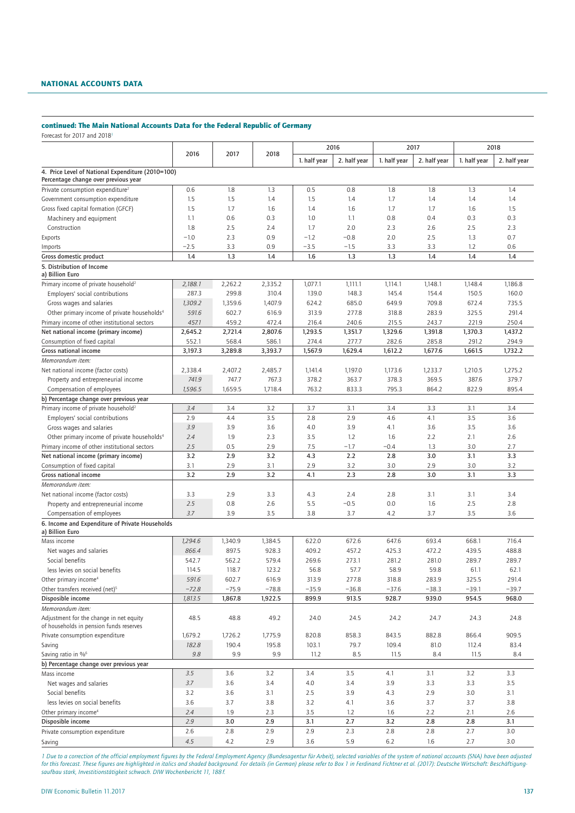### NATIONAL ACCOUNTS DATA

# continued: The Main National Accounts Data for the Federal Republic of Germany

Forecast for 2017 and 2018<sup>1</sup>

|                                                                                    |         |         |         | 2016         |              | 2017         |              | 2018         |              |
|------------------------------------------------------------------------------------|---------|---------|---------|--------------|--------------|--------------|--------------|--------------|--------------|
|                                                                                    | 2016    | 2017    | 2018    | 1. half year | 2. half year | 1. half year | 2. half year | 1. half year | 2. half year |
| 4. Price Level of National Expenditure (2010=100)                                  |         |         |         |              |              |              |              |              |              |
| Percentage change over previous year                                               |         |         |         |              |              |              |              |              |              |
| Private consumption expenditure <sup>2</sup>                                       | 0.6     | 1.8     | 1.3     | 0.5          | 0.8          | 1.8          | 1.8          | 1.3          | 1.4          |
| Government consumption expenditure                                                 | 1.5     | 1.5     | 1.4     | 1.5          | 1.4          | 1.7          | 1.4          | 1.4          | 1.4          |
| Gross fixed capital formation (GFCF)                                               | 1.5     | 1.7     | 1.6     | 1.4          | 1.6          | 1.7          | 1.7          | 1.6          | 1.5          |
| Machinery and equipment                                                            | 1.1     | 0.6     | 0.3     | 1.0          | 1.1          | 0.8          | 0.4          | 0.3          | 0.3          |
| Construction                                                                       | 1.8     | 2.5     | 2.4     | 1.7          | 2.0          | 2.3          | 2.6          | 2.5          | 2.3          |
| Exports                                                                            | $-1.0$  | 2.3     | 0.9     | $-1.2$       | $-0.8$       | 2.0          | 2.5          | 1.3          | 0.7          |
| Imports                                                                            | $-2.5$  | 3.3     | 0.9     | $-3.5$       | $-1.5$       | 3.3          | 3.3          | 1.2          | 0.6          |
| Gross domestic product                                                             | 1.4     | 1.3     | 1.4     | 1.6          | 1.3          | 1.3          | 1.4          | 1.4          | 1.4          |
| 5. Distribution of Income<br>a) Billion Euro                                       |         |         |         |              |              |              |              |              |              |
| Primary income of private household <sup>2</sup>                                   | 2,188.1 | 2,262.2 | 2,335.2 | 1,077.1      | 1,111.1      | 1,114.1      | 1,148.1      | 1,148.4      | 1,186.8      |
| Employers' social contributions                                                    | 287.3   | 299.8   | 310.4   | 139.0        | 148.3        | 145.4        | 154.4        | 150.5        | 160.0        |
| Gross wages and salaries                                                           | 1,309.2 | 1,359.6 | 1,407.9 | 624.2        | 685.0        | 649.9        | 709.8        | 672.4        | 735.5        |
| Other primary income of private households <sup>4</sup>                            | 591.6   | 602.7   | 616.9   | 313.9        | 277.8        | 318.8        | 283.9        | 325.5        | 291.4        |
| Primary income of other institutional sectors                                      | 457.1   | 459.2   | 472.4   | 216.4        | 240.6        | 215.5        | 243.7        | 221.9        | 250.4        |
| Net national income (primary income)                                               | 2,645.2 | 2,721.4 | 2,807.6 | 1,293.5      | 1,351.7      | 1,329.6      | 1,391.8      | 1,370.3      | 1,437.2      |
| Consumption of fixed capital                                                       | 552.1   | 568.4   | 586.1   | 274.4        | 277.7        | 282.6        | 285.8        | 291.2        | 294.9        |
| <b>Gross national income</b>                                                       | 3,197.3 | 3,289.8 | 3,393.7 | 1,567.9      | 1,629.4      | 1,612.2      | 1,677.6      | 1,661.5      | 1,732.2      |
| Memorandum item:                                                                   |         |         |         |              |              |              |              |              |              |
| Net national income (factor costs)                                                 | 2,338.4 | 2,407.2 | 2,485.7 | 1,141.4      | 1,197.0      | 1,173.6      | 1,233.7      | 1,210.5      | 1,275.2      |
| Property and entrepreneurial income                                                | 741.9   | 747.7   | 767.3   | 378.2        | 363.7        | 378.3        | 369.5        | 387.6        | 379.7        |
| Compensation of employees                                                          | 1,596.5 | 1,659.5 | 1,718.4 | 763.2        | 833.3        | 795.3        | 864.2        | 822.9        | 895.4        |
| b) Percentage change over previous year                                            |         |         |         |              |              |              |              |              |              |
| Primary income of private household <sup>2</sup>                                   | 3.4     | 3.4     | 3.2     | 3.7          | 3.1          | 3.4          | 3.3          | 3.1          | 3.4          |
| Employers' social contributions                                                    | 2.9     | 4.4     | 3.5     | 2.8          | 2.9          | 4.6          | 4.1          | 3.5          | 3.6          |
| Gross wages and salaries                                                           | 3.9     | 3.9     | 3.6     | 4.0          | 3.9          | 4.1          | 3.6          | 3.5          | 3.6          |
| Other primary income of private households <sup>4</sup>                            | 2.4     | 1.9     | 2.3     | 3.5          | 1.2          | 1.6          | 2.2          | 2.1          | 2.6          |
| Primary income of other institutional sectors                                      | 2.5     | 0.5     | 2.9     | 7.5          | $-1.7$       | $-0.4$       | 1.3          | 3.0          | 2.7          |
| Net national income (primary income)                                               | 3.2     | 2.9     | 3.2     | 4.3          | 2.2          | 2.8          | 3.0          | 3.1          | 3.3          |
| Consumption of fixed capital                                                       | 3.1     | 2.9     | 3.1     | 2.9          | 3.2          | 3.0          | 2.9          | 3.0          | 3.2          |
| Gross national income                                                              | 3.2     | 2.9     | 3.2     | 4.1          | 2.3          | 2.8          | 3.0          | 3.1          | 3.3          |
| Memorandum item:                                                                   |         |         |         |              |              |              |              |              |              |
| Net national income (factor costs)                                                 | 3.3     | 2.9     | 3.3     | 4.3          | 2.4          | 2.8          | 3.1          | 3.1          | 3.4          |
| Property and entrepreneurial income                                                | 2.5     | 0.8     | 2.6     | 5.5          | $-0.5$       | 0.0          | 1.6          | 2.5          | 2.8          |
| Compensation of employees                                                          | 3.7     | 3.9     | 3.5     | 3.8          | 3.7          | 4.2          | 3.7          | 3.5          | 3.6          |
| 6. Income and Expenditure of Private Households<br>a) Billion Euro                 |         |         |         |              |              |              |              |              |              |
| Mass income                                                                        | 1,294.6 | 1,340.9 | 1,384.5 | 622.0        | 672.6        | 647.6        | 693.4        | 668.1        | 716.4        |
| Net wages and salaries                                                             | 866.4   | 897.5   | 928.3   | 409.2        | 457.2        | 425.3        | 472.2        | 439.5        | 488.8        |
| Social benefits                                                                    | 542.7   | 562.2   | 579.4   | 269.6        | 273.1        | 281.2        | 281.0        | 289.7        | 289.7        |
| less levies on social benefits                                                     | 114.5   | 118.7   | 123.2   | 56.8         | 57.7         | 58.9         | 59.8         | 61.1         | 62.1         |
| Other primary income <sup>4</sup>                                                  | 591.6   | 602.7   | 616.9   | 313.9        | 277.8        | 318.8        | 283.9        | 325.5        | 291.4        |
| Other transfers received (net) <sup>5</sup>                                        | $-72.8$ | $-75.9$ | $-78.8$ | $-35.9$      | $-36.8$      | $-37.6$      | $-38.3$      | $-39.1$      | $-39.7$      |
| Disposible income                                                                  | 1,813.5 | 1,867.8 | 1,922.5 | 899.9        | 913.5        | 928.7        | 939.0        | 954.5        | 968.0        |
| Memorandum item:                                                                   |         |         |         |              |              |              |              |              |              |
| Adjustment for the change in net equity<br>of households in pension funds reserves | 48.5    | 48.8    | 49.2    | 24.0         | 24.5         | 24.2         | 24.7         | 24.3         | 24.8         |
| Private consumption expenditure                                                    | 1,679.2 | 1,726.2 | 1,775.9 | 820.8        | 858.3        | 843.5        | 882.8        | 866.4        | 909.5        |
| Saving                                                                             | 182.8   | 190.4   | 195.8   | 103.1        | 79.7         | 109.4        | 81.0         | 112.4        | 83.4         |
| Saving ratio in % <sup>6</sup>                                                     | 9.8     | 9.9     | 9.9     | 11.2         | 8.5          | 11.5         | 8.4          | 11.5         | 8.4          |
| b) Percentage change over previous year                                            |         |         |         |              |              |              |              |              |              |
| Mass income                                                                        | 3.5     | 3.6     | 3.2     | 3.4          | 3.5          | 4.1          | 3.1          | 3.2          | 3.3          |
| Net wages and salaries                                                             | 3.7     | 3.6     | 3.4     | 4.0          | 3.4          | 3.9          | 3.3          | 3.3          | 3.5          |
| Social benefits                                                                    | 3.2     | 3.6     | 3.1     | 2.5          | 3.9          | 4.3          | 2.9          | 3.0          | 3.1          |
| less levies on social benefits                                                     | 3.6     | 3.7     | 3.8     | 3.2          | 4.1          | 3.6          | 3.7          | 3.7          | 3.8          |
| Other primary income <sup>4</sup>                                                  | 2.4     | 1.9     | 2.3     | 3.5          | 1.2          | 1.6          | 2.2          | 2.1          | 2.6          |
| Disposible income                                                                  | 2.9     | 3.0     | 2.9     | 3.1          | 2.7          | 3.2          | 2.8          | 2.8          | 3.1          |
| Private consumption expenditure                                                    | $2.6\,$ | 2.8     | 2.9     | 2.9          | 2.3          | 2.8          | 2.8          | 2.7          | 3.0          |
|                                                                                    | 4.5     | 4.2     | 2.9     | 3.6          | 5.9          | 6.2          | 1.6          | 2.7          | 3.0          |
| Saving                                                                             |         |         |         |              |              |              |              |              |              |

*1 Due to a correction of the official employment figures by the Federal Employment Agency (Bundesagentur für Arbeit), selected variables of the system of national accounts (SNA) have been adjusted for this forecast. These figures are highlighted in italics and shaded background. For details (in German) please refer to Box 1 in Ferdinand Fichtner et al. (2017): Deutsche Wirtschaft: Beschäftigungsaufbau stark, Investitionstätigkeit schwach. DIW Wochenbericht 11, 188f.*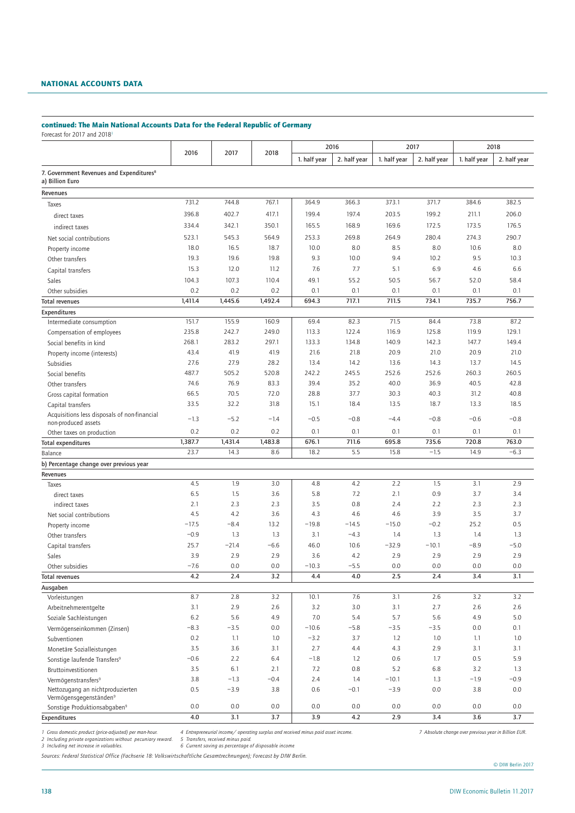# NATIONAL ACCOUNTS DATA

### continued: The Main National Accounts Data for the Federal Republic of Germany

Forecast for 2017 and 2018<sup>1</sup>

|                                                                         |               |            |               |                | 2016          |                | 2017         |               | 2018          |
|-------------------------------------------------------------------------|---------------|------------|---------------|----------------|---------------|----------------|--------------|---------------|---------------|
|                                                                         | 2016          | 2017       | 2018          | 1. half year   | 2. half year  | 1. half year   | 2. half year | 1. half year  | 2. half year  |
| 7. Government Revenues and Expenditures <sup>8</sup><br>a) Billion Euro |               |            |               |                |               |                |              |               |               |
| Revenues                                                                |               |            |               |                |               |                |              |               |               |
| Taxes                                                                   | 731.2         | 744.8      | 767.1         | 364.9          | 366.3         | 373.1          | 371.7        | 384.6         | 382.5         |
| direct taxes                                                            | 396.8         | 402.7      | 417.1         | 199.4          | 197.4         | 203.5          | 199.2        | 211.1         | 206.0         |
| indirect taxes                                                          | 334.4         | 342.1      | 350.1         | 165.5          | 168.9         | 169.6          | 172.5        | 173.5         | 176.5         |
| Net social contributions                                                | 523.1         | 545.3      | 564.9         | 253.3          | 269.8         | 264.9          | 280.4        | 274.3         | 290.7         |
| Property income                                                         | 18.0          | 16.5       | 18.7          | 10.0           | 8.0           | 8.5            | 8.0          | 10.6          | 8.0           |
| Other transfers                                                         | 19.3          | 19.6       | 19.8          | 9.3            | 10.0          | 9.4            | 10.2         | 9.5           | 10.3          |
| Capital transfers                                                       | 15.3          | 12.0       | 11.2          | 7.6            | 7.7           | 5.1            | 6.9          | 4.6           | 6.6           |
| Sales                                                                   | 104.3         | 107.3      | 110.4         | 49.1           | 55.2          | 50.5           | 56.7         | 52.0          | 58.4          |
| Other subsidies                                                         | 0.2           | 0.2        | 0.2           | 0.1            | 0.1           | 0.1            | 0.1          | 0.1           | 0.1           |
| <b>Total revenues</b>                                                   | 1,411.4       | 1,445.6    | 1,492.4       | 694.3          | 717.1         | 711.5          | 734.1        | 735.7         | 756.7         |
| Expenditures                                                            |               |            |               |                |               |                |              |               |               |
| Intermediate consumption                                                | 151.7         | 155.9      | 160.9         | 69.4           | 82.3          | 71.5           | 84.4         | 73.8          | 87.2          |
| Compensation of employees                                               | 235.8         | 242.7      | 249.0         | 113.3          | 122.4         | 116.9          | 125.8        | 119.9         | 129.1         |
| Social benefits in kind                                                 | 268.1         | 283.2      | 297.1         | 133.3          | 134.8         | 140.9          | 142.3        | 147.7         | 149.4         |
| Property income (interests)                                             | 43.4          | 41.9       | 41.9          | 21.6           | 21.8          | 20.9           | 21.0         | 20.9          | 21.0          |
| Subsidies                                                               | 27.6          | 27.9       | 28.2          | 13.4           | 14.2          | 13.6           | 14.3         | 13.7          | 14.5          |
| Social benefits                                                         | 487.7         | 505.2      | 520.8         | 242.2          | 245.5         | 252.6          | 252.6        | 260.3         | 260.5         |
| Other transfers                                                         | 74.6          | 76.9       | 83.3          | 39.4           | 35.2          | 40.0           | 36.9         | 40.5          | 42.8          |
| Gross capital formation                                                 | 66.5          | 70.5       | 72.0          | 28.8           | 37.7          | 30.3           | 40.3         | 31.2          | 40.8          |
| Capital transfers                                                       | 33.5          | 32.2       | 31.8          | 15.1           | 18.4          | 13.5           | 18.7         | 13.3          | 18.5          |
| Acquisitions less disposals of non-financial<br>non-produced assets     | $-1.3$        | $-5.2$     | $-1.4$        | $-0.5$         | $-0.8$        | $-4.4$         | $-0.8$       | $-0.6$        | $-0.8$        |
| Other taxes on production                                               | 0.2           | 0.2        | 0.2           | 0.1            | 0.1           | 0.1            | 0.1          | 0.1           | 0.1           |
| <b>Total expenditures</b>                                               | 1,387.7       | 1,431.4    | 1,483.8       | 676.1          | 711.6         | 695.8          | 735.6        | 720.8         | 763.0         |
| Balance                                                                 | 23.7          | 14.3       | 8.6           | 18.2           | 5.5           | 15.8           | $-1.5$       | 14.9          | $-6.3$        |
| b) Percentage change over previous year                                 |               |            |               |                |               |                |              |               |               |
| Revenues                                                                |               |            |               |                |               |                |              |               |               |
| Taxes                                                                   | 4.5           | 1.9        | 3.0           | 4.8            | 4.2           | 2.2            | 1.5          | 3.1           | 2.9           |
| direct taxes                                                            | 6.5           | 1.5        | 3.6           | 5.8            | 7.2           | 2.1            | 0.9          | 3.7           | 3.4           |
| indirect taxes                                                          | 2.1           | 2.3        | 2.3           | 3.5            | 0.8           | 2.4            | 2.2          | 2.3           | 2.3           |
| Net social contributions                                                | 4.5           | 4.2        | 3.6           | 4.3            | 4.6           | 4.6            | 3.9          | 3.5           | 3.7           |
| Property income                                                         | $-17.5$       | $-8.4$     | 13.2          | $-19.8$        | $-14.5$       | $-15.0$        | $-0.2$       | 25.2          | 0.5           |
| Other transfers                                                         | $-0.9$        | 1.3        | 1.3<br>$-6.6$ | 3.1            | $-4.3$        | 1.4            | 1.3          | 1.4<br>$-8.9$ | 1.3<br>$-5.0$ |
| Capital transfers                                                       | 25.7          | $-21.4$    | 2.9           | 46.0           | 10.6          | $-32.9$<br>2.9 | $-10.1$      |               |               |
| Sales                                                                   | 3.9<br>$-7.6$ | 2.9<br>0.0 | 0.0           | 3.6<br>$-10.3$ | 4.2<br>$-5.5$ | 0.0            | 2.9<br>0.0   | 2.9<br>0.0    | 2.9<br>0.0    |
| Other subsidies<br><b>Total revenues</b>                                | 4.2           | 2.4        | 3.2           | 4.4            | 4.0           | 2.5            | 2.4          | 3.4           | 3.1           |
|                                                                         |               |            |               |                |               |                |              |               |               |
| Ausgaben<br>Vorleistungen                                               | 8.7           | 2.8        | 3.2           | 10.1           | 7.6           | 3.1            | 2.6          | 3.2           | 3.2           |
| Arbeitnehmerentgelte                                                    | 3.1           | 2.9        | 2.6           | 3.2            | 3.0           | 3.1            | 2.7          | 2.6           | 2.6           |
| Soziale Sachleistungen                                                  | 6.2           | 5.6        | 4.9           | 7.0            | 5.4           | 5.7            | 5.6          | 4.9           | 5.0           |
| Vermögenseinkommen (Zinsen)                                             | $-8.3$        | $-3.5$     | 0.0           | $-10.6$        | $-5.8$        | $-3.5$         | $-3.5$       | 0.0           | 0.1           |
| Subventionen                                                            | 0.2           | 1.1        | 1.0           | $-3.2$         | 3.7           | 1.2            | 1.0          | 1.1           | 1.0           |
| Monetäre Sozialleistungen                                               | 3.5           | 3.6        | 3.1           | 2.7            | 4.4           | 4.3            | 2.9          | 3.1           | 3.1           |
| Sonstige laufende Transfers <sup>9</sup>                                | $-0.6$        | 2.2        | 6.4           | $-1.8$         | 1.2           | 0.6            | 1.7          | 0.5           | 5.9           |
| Bruttoinvestitionen                                                     | 3.5           | 6.1        | 2.1           | 7.2            | $0.8\,$       | 5.2            | 6.8          | 3.2           | 1.3           |
| Vermögenstransfers <sup>9</sup>                                         | 3.8           | $-1.3$     | $-0.4$        | 2.4            | 1.4           | $-10.1$        | 1.3          | $-1.9$        | $-0.9$        |
| Nettozugang an nichtproduzierten<br>Vermögensgegenständen <sup>9</sup>  | 0.5           | $-3.9$     | 3.8           | 0.6            | $-0.1$        | $-3.9$         | $0.0\,$      | 3.8           | 0.0           |
| Sonstige Produktionsabgaben <sup>9</sup>                                | $0.0\,$       | $0.0\,$    | $0.0\,$       | 0.0            | $0.0\,$       | 0.0            | 0.0          | 0.0           | 0.0           |
| Expenditures                                                            | 4.0           | 3.1        | 3.7           | 3.9            | 4.2           | 2.9            | 3.4          | 3.6           | 3.7           |

4 Entrepreneurial income/operating surplus and received minus paid asset income.<br>5 Transfers, received minus paid.<br>6 Current saving as percentage of disposable income *2 Including private organizations without pecuniary reward. 5 Transfers, received minus paid. 3 Including net increase in valuables. 6 Current saving as percentage of disposable income*

*Sources: Federal Statistical Office (Fachserie 18: Volkswirtschaftliche Gesamtrechnungen); Forecast by DIW Berlin.*

© DIW Berlin 2017